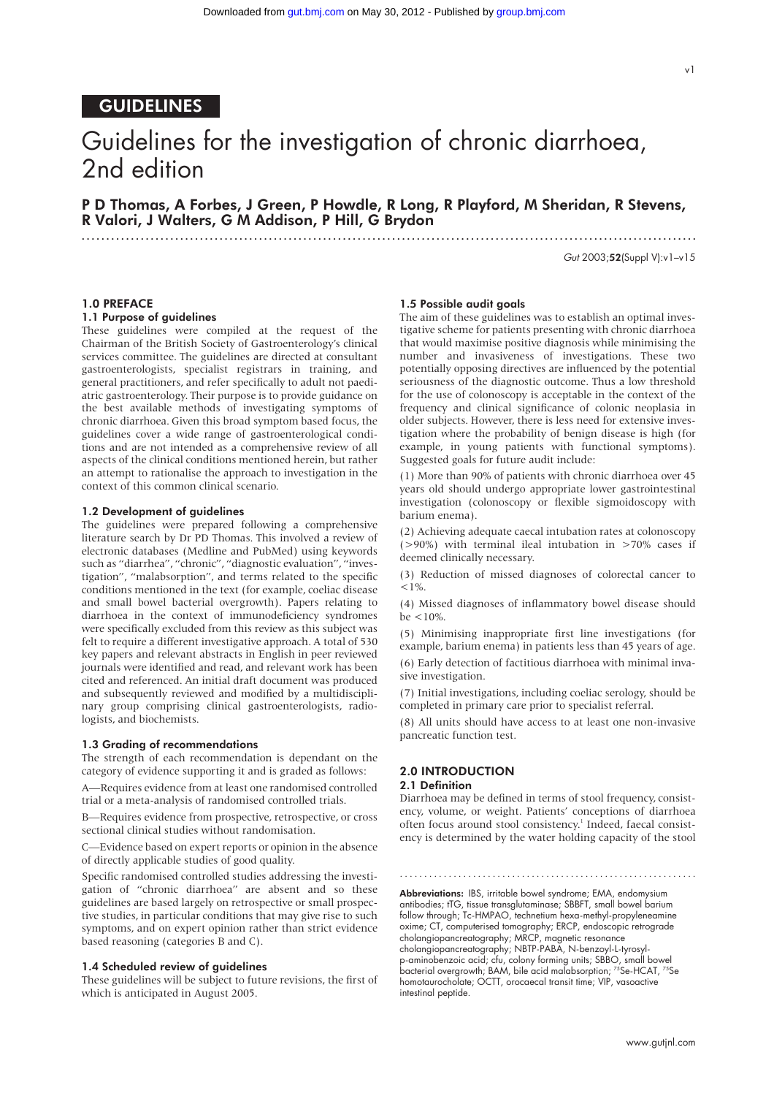# **GUIDELINES**

# Guidelines for the investigation of chronic diarrhoea, 2nd edition

P D Thomas, A Forbes, J Green, P Howdle, R Long, R Playford, M Sheridan, R Stevens, R Valori, J Walters, G M Addison, P Hill, G Brydon

.............................................................................................................................

*Gut* 2003;52(Suppl V):v1–v15

# 1.0 PREFACE

## 1.1 Purpose of guidelines

These guidelines were compiled at the request of the Chairman of the British Society of Gastroenterology's clinical services committee. The guidelines are directed at consultant gastroenterologists, specialist registrars in training, and general practitioners, and refer specifically to adult not paediatric gastroenterology. Their purpose is to provide guidance on the best available methods of investigating symptoms of chronic diarrhoea. Given this broad symptom based focus, the guidelines cover a wide range of gastroenterological conditions and are not intended as a comprehensive review of all aspects of the clinical conditions mentioned herein, but rather an attempt to rationalise the approach to investigation in the context of this common clinical scenario.

### 1.2 Development of guidelines

The guidelines were prepared following a comprehensive literature search by Dr PD Thomas. This involved a review of electronic databases (Medline and PubMed) using keywords such as "diarrhea", "chronic", "diagnostic evaluation", "investigation", "malabsorption", and terms related to the specific conditions mentioned in the text (for example, coeliac disease and small bowel bacterial overgrowth). Papers relating to diarrhoea in the context of immunodeficiency syndromes were specifically excluded from this review as this subject was felt to require a different investigative approach. A total of 530 key papers and relevant abstracts in English in peer reviewed journals were identified and read, and relevant work has been cited and referenced. An initial draft document was produced and subsequently reviewed and modified by a multidisciplinary group comprising clinical gastroenterologists, radiologists, and biochemists.

### 1.3 Grading of recommendations

The strength of each recommendation is dependant on the category of evidence supporting it and is graded as follows:

A—Requires evidence from at least one randomised controlled trial or a meta-analysis of randomised controlled trials.

-Requires evidence from prospective, retrospective, or cross sectional clinical studies without randomisation.

C—Evidence based on expert reports or opinion in the absence of directly applicable studies of good quality.

Specific randomised controlled studies addressing the investigation of "chronic diarrhoea" are absent and so these guidelines are based largely on retrospective or small prospective studies, in particular conditions that may give rise to such symptoms, and on expert opinion rather than strict evidence based reasoning (categories B and C).

### 1.4 Scheduled review of guidelines

These guidelines will be subject to future revisions, the first of which is anticipated in August 2005.

### 1.5 Possible audit goals

The aim of these guidelines was to establish an optimal investigative scheme for patients presenting with chronic diarrhoea that would maximise positive diagnosis while minimising the number and invasiveness of investigations. These two potentially opposing directives are influenced by the potential seriousness of the diagnostic outcome. Thus a low threshold for the use of colonoscopy is acceptable in the context of the frequency and clinical significance of colonic neoplasia in older subjects. However, there is less need for extensive investigation where the probability of benign disease is high (for example, in young patients with functional symptoms). Suggested goals for future audit include:

(1) More than 90% of patients with chronic diarrhoea over 45 years old should undergo appropriate lower gastrointestinal investigation (colonoscopy or flexible sigmoidoscopy with barium enema).

(2) Achieving adequate caecal intubation rates at colonoscopy (>90%) with terminal ileal intubation in >70% cases if deemed clinically necessary.

(3) Reduction of missed diagnoses of colorectal cancer to  $< 1\%$ .

(4) Missed diagnoses of inflammatory bowel disease should  $be < 10\%$ .

(5) Minimising inappropriate first line investigations (for example, barium enema) in patients less than 45 years of age.

(6) Early detection of factitious diarrhoea with minimal invasive investigation.

(7) Initial investigations, including coeliac serology, should be completed in primary care prior to specialist referral.

(8) All units should have access to at least one non-invasive pancreatic function test.

## 2.0 INTRODUCTION

### 2.1 Definition

Diarrhoea may be defined in terms of stool frequency, consistency, volume, or weight. Patients' conceptions of diarrhoea often focus around stool consistency.<sup>1</sup> Indeed, faecal consistency is determined by the water holding capacity of the stool

.............................................................

Abbreviations: IBS, irritable bowel syndrome; EMA, endomysium antibodies; tTG, tissue transglutaminase; SBBFT, small bowel barium follow through; Tc-HMPAO, technetium hexa-methyl-propyleneamine oxime; CT, computerised tomography; ERCP, endoscopic retrograde cholangiopancreatography; MRCP, magnetic resonance cholangiopancreatography; NBTP-PABA, N-benzoyl-L-tyrosylp-aminobenzoic acid; cfu, colony forming units; SBBO, small bowel bacterial overgrowth; BAM, bile acid malabsorption; <sup>75</sup>Se-HCAT, <sup>75</sup>Se homotaurocholate; OCTT, orocaecal transit time; VIP, vasoactive intestinal peptide.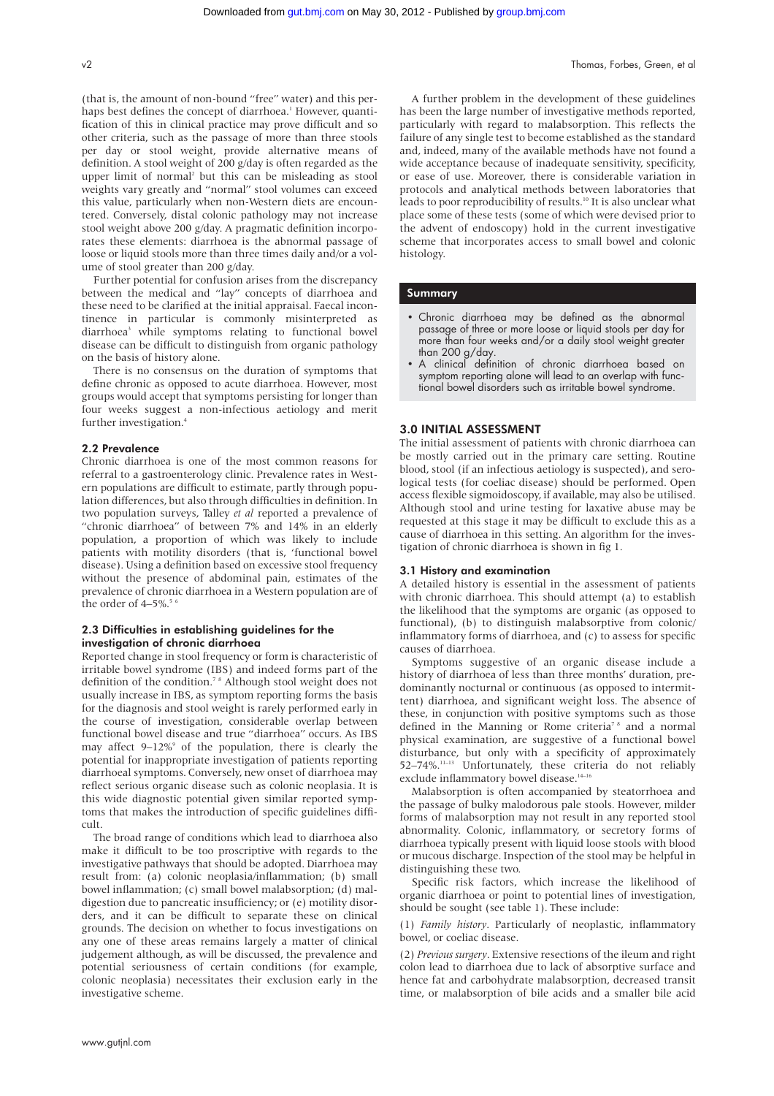(that is, the amount of non-bound "free" water) and this perhaps best defines the concept of diarrhoea.<sup>1</sup> However, quantification of this in clinical practice may prove difficult and so other criteria, such as the passage of more than three stools per day or stool weight, provide alternative means of definition. A stool weight of 200 g/day is often regarded as the upper limit of normal2 but this can be misleading as stool weights vary greatly and "normal" stool volumes can exceed this value, particularly when non-Western diets are encountered. Conversely, distal colonic pathology may not increase stool weight above 200 g/day. A pragmatic definition incorporates these elements: diarrhoea is the abnormal passage of loose or liquid stools more than three times daily and/or a volume of stool greater than 200 g/day.

Further potential for confusion arises from the discrepancy between the medical and "lay" concepts of diarrhoea and these need to be clarified at the initial appraisal. Faecal incontinence in particular is commonly misinterpreted as diarrhoea<sup>3</sup> while symptoms relating to functional bowel disease can be difficult to distinguish from organic pathology on the basis of history alone.

There is no consensus on the duration of symptoms that define chronic as opposed to acute diarrhoea. However, most groups would accept that symptoms persisting for longer than four weeks suggest a non-infectious aetiology and merit further investigation.<sup>4</sup>

### 2.2 Prevalence

Chronic diarrhoea is one of the most common reasons for referral to a gastroenterology clinic. Prevalence rates in Western populations are difficult to estimate, partly through population differences, but also through difficulties in definition. In two population surveys, Talley *et al* reported a prevalence of "chronic diarrhoea" of between 7% and 14% in an elderly population, a proportion of which was likely to include patients with motility disorders (that is, 'functional bowel disease). Using a definition based on excessive stool frequency without the presence of abdominal pain, estimates of the prevalence of chronic diarrhoea in a Western population are of the order of 4–5%. $56$ 

### 2.3 Difficulties in establishing guidelines for the investigation of chronic diarrhoea

Reported change in stool frequency or form is characteristic of irritable bowel syndrome (IBS) and indeed forms part of the definition of the condition.7 8 Although stool weight does not usually increase in IBS, as symptom reporting forms the basis for the diagnosis and stool weight is rarely performed early in the course of investigation, considerable overlap between functional bowel disease and true "diarrhoea" occurs. As IBS may affect  $9-12\%$  of the population, there is clearly the potential for inappropriate investigation of patients reporting diarrhoeal symptoms. Conversely, new onset of diarrhoea may reflect serious organic disease such as colonic neoplasia. It is this wide diagnostic potential given similar reported symptoms that makes the introduction of specific guidelines difficult.

The broad range of conditions which lead to diarrhoea also make it difficult to be too proscriptive with regards to the investigative pathways that should be adopted. Diarrhoea may result from: (a) colonic neoplasia/inflammation; (b) small bowel inflammation; (c) small bowel malabsorption; (d) maldigestion due to pancreatic insufficiency; or (e) motility disorders, and it can be difficult to separate these on clinical grounds. The decision on whether to focus investigations on any one of these areas remains largely a matter of clinical judgement although, as will be discussed, the prevalence and potential seriousness of certain conditions (for example, colonic neoplasia) necessitates their exclusion early in the investigative scheme.

A further problem in the development of these guidelines has been the large number of investigative methods reported, particularly with regard to malabsorption. This reflects the failure of any single test to become established as the standard and, indeed, many of the available methods have not found a wide acceptance because of inadequate sensitivity, specificity, or ease of use. Moreover, there is considerable variation in protocols and analytical methods between laboratories that leads to poor reproducibility of results.<sup>10</sup> It is also unclear what place some of these tests (some of which were devised prior to the advent of endoscopy) hold in the current investigative scheme that incorporates access to small bowel and colonic histology.

# **Summary**

- Chronic diarrhoea may be defined as the abnormal passage of three or more loose or liquid stools per day for more than four weeks and/or a daily stool weight greater than 200 g/day.
- A clinical definition of chronic diarrhoea based on symptom reporting alone will lead to an overlap with functional bowel disorders such as irritable bowel syndrome.

### 3.0 INITIAL ASSESSMENT

The initial assessment of patients with chronic diarrhoea can be mostly carried out in the primary care setting. Routine blood, stool (if an infectious aetiology is suspected), and serological tests (for coeliac disease) should be performed. Open access flexible sigmoidoscopy, if available, may also be utilised. Although stool and urine testing for laxative abuse may be requested at this stage it may be difficult to exclude this as a cause of diarrhoea in this setting. An algorithm for the investigation of chronic diarrhoea is shown in fig 1.

### 3.1 History and examination

A detailed history is essential in the assessment of patients with chronic diarrhoea. This should attempt (a) to establish the likelihood that the symptoms are organic (as opposed to functional), (b) to distinguish malabsorptive from colonic/ inflammatory forms of diarrhoea, and (c) to assess for specific causes of diarrhoea.

Symptoms suggestive of an organic disease include a history of diarrhoea of less than three months' duration, predominantly nocturnal or continuous (as opposed to intermittent) diarrhoea, and significant weight loss. The absence of these, in conjunction with positive symptoms such as those defined in the Manning or Rome criteria<sup>78</sup> and a normal physical examination, are suggestive of a functional bowel disturbance, but only with a specificity of approximately 52–74%.<sup>11–13</sup> Unfortunately, these criteria do not reliably exclude inflammatory bowel disease.<sup>14-16</sup>

Malabsorption is often accompanied by steatorrhoea and the passage of bulky malodorous pale stools. However, milder forms of malabsorption may not result in any reported stool abnormality. Colonic, inflammatory, or secretory forms of diarrhoea typically present with liquid loose stools with blood or mucous discharge. Inspection of the stool may be helpful in distinguishing these two.

Specific risk factors, which increase the likelihood of organic diarrhoea or point to potential lines of investigation, should be sought (see table 1). These include:

(1) *Family history*. Particularly of neoplastic, inflammatory bowel, or coeliac disease.

(2) *Previous surgery*. Extensive resections of the ileum and right colon lead to diarrhoea due to lack of absorptive surface and hence fat and carbohydrate malabsorption, decreased transit time, or malabsorption of bile acids and a smaller bile acid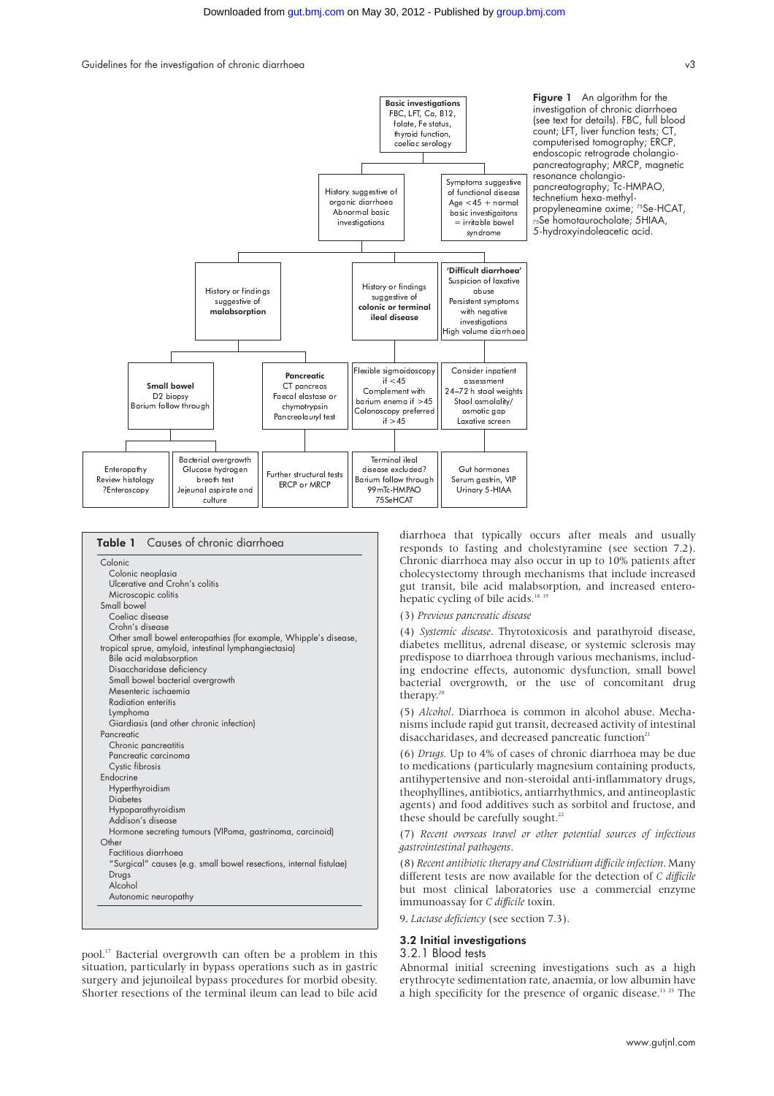

| Colonic neoplasia<br>Ulcerative and Crohn's colitis<br>Microscopic colitis<br>Small bowel<br>Coeliac disease<br>Crohn's disease |  |
|---------------------------------------------------------------------------------------------------------------------------------|--|
|                                                                                                                                 |  |
|                                                                                                                                 |  |
|                                                                                                                                 |  |
|                                                                                                                                 |  |
|                                                                                                                                 |  |
|                                                                                                                                 |  |
| Other small bowel enteropathies (for example, Whipple's disease,                                                                |  |
| tropical sprue, amyloid, intestinal lymphangiectasia)                                                                           |  |
| Bile acid malabsorption                                                                                                         |  |
| Disaccharidase deficiency                                                                                                       |  |
| Small bowel bacterial overgrowth                                                                                                |  |
| Mesenteric ischaemia                                                                                                            |  |
| Radiation enteritis                                                                                                             |  |
| Lymphoma                                                                                                                        |  |
| Giardiasis (and other chronic infection)                                                                                        |  |
| Pancreatic                                                                                                                      |  |
| Chronic pancreatitis                                                                                                            |  |
| Pancreatic carcinoma                                                                                                            |  |
| Cystic fibrosis                                                                                                                 |  |
| <b>Endocrine</b>                                                                                                                |  |
| Hyperthyroidism                                                                                                                 |  |
| <b>Diabetes</b>                                                                                                                 |  |
| Hypoparathyroidism                                                                                                              |  |
| Addison's disease                                                                                                               |  |
| Hormone secreting tumours (VIPoma, gastrinoma, carcinoid)                                                                       |  |
| Other                                                                                                                           |  |
| Factitious diarrhoea                                                                                                            |  |
| "Surgical" causes (e.g. small bowel resections, internal fistulae)                                                              |  |
| Drugs<br>Alcohol                                                                                                                |  |
| Autonomic neuropathy                                                                                                            |  |

pool.17 Bacterial overgrowth can often be a problem in this situation, particularly in bypass operations such as in gastric surgery and jejunoileal bypass procedures for morbid obesity. Shorter resections of the terminal ileum can lead to bile acid

diarrhoea that typically occurs after meals and usually responds to fasting and cholestyramine (see section 7.2). Chronic diarrhoea may also occur in up to 10% patients after cholecystectomy through mechanisms that include increased gut transit, bile acid malabsorption, and increased enterohepatic cycling of bile acids.<sup>18</sup>

(3) *Previous pancreatic disease*

(4) *Systemic disease*. Thyrotoxicosis and parathyroid disease, diabetes mellitus, adrenal disease, or systemic sclerosis may predispose to diarrhoea through various mechanisms, including endocrine effects, autonomic dysfunction, small bowel bacterial overgrowth, or the use of concomitant drug therapy.<sup>20</sup>

(5) *Alcohol*. Diarrhoea is common in alcohol abuse. Mechanisms include rapid gut transit, decreased activity of intestinal disaccharidases, and decreased pancreatic function<sup>21</sup>

(6) *Drugs.* Up to 4% of cases of chronic diarrhoea may be due to medications (particularly magnesium containing products, antihypertensive and non-steroidal anti-inflammatory drugs, theophyllines, antibiotics, antiarrhythmics, and antineoplastic agents) and food additives such as sorbitol and fructose, and these should be carefully sought.<sup>22</sup>

(7) *Recent overseas travel or other potential sources of infectious gastrointestinal pathogens*.

(8) *Recent antibiotic therapy and Clostridium difficile infection*. Many different tests are now available for the detection of *C difficile* but most clinical laboratories use a commercial enzyme immunoassay for *C difficile* toxin.

9. *Lactase deficiency* (see section 7.3).

### 3.2 Initial investigations

### 3.2.1 Blood tests

Abnormal initial screening investigations such as a high erythrocyte sedimentation rate, anaemia, or low albumin have a high specificity for the presence of organic disease.13 23 The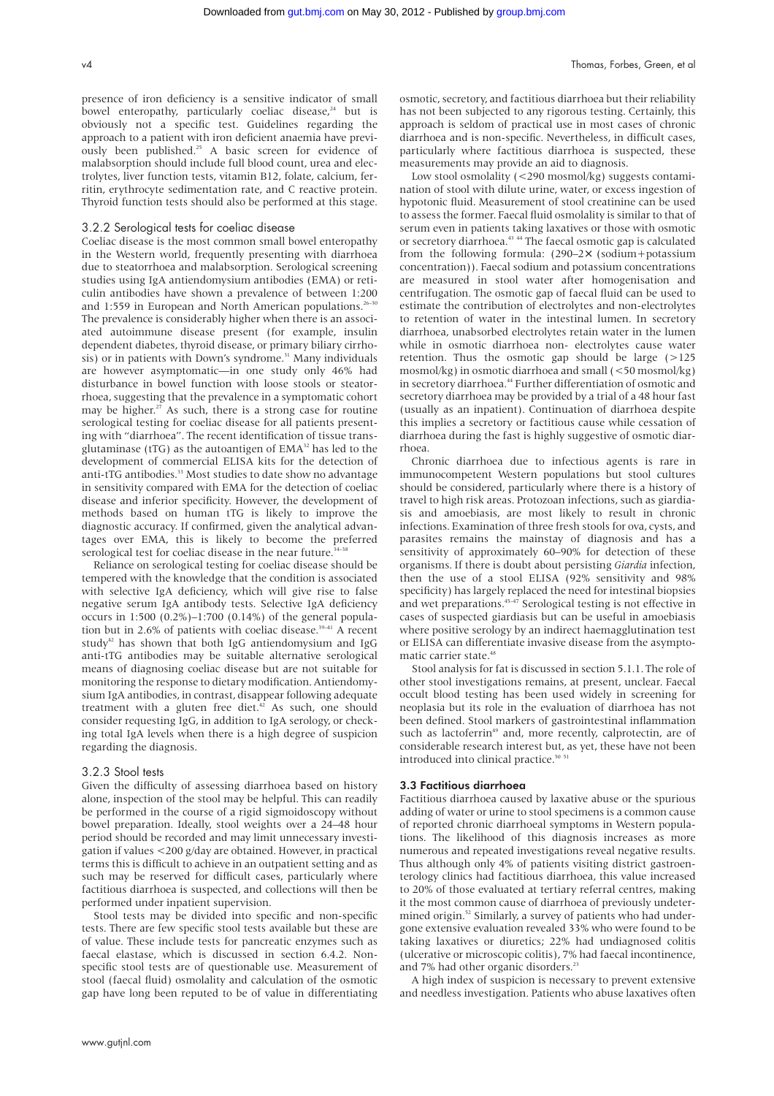presence of iron deficiency is a sensitive indicator of small bowel enteropathy, particularly coeliac disease,<sup>24</sup> but is obviously not a specific test. Guidelines regarding the approach to a patient with iron deficient anaemia have previously been published.<sup>25</sup> A basic screen for evidence of malabsorption should include full blood count, urea and electrolytes, liver function tests, vitamin B12, folate, calcium, ferritin, erythrocyte sedimentation rate, and C reactive protein. Thyroid function tests should also be performed at this stage.

### 3.2.2 Serological tests for coeliac disease

Coeliac disease is the most common small bowel enteropathy in the Western world, frequently presenting with diarrhoea due to steatorrhoea and malabsorption. Serological screening studies using IgA antiendomysium antibodies (EMA) or reticulin antibodies have shown a prevalence of between 1:200 and 1:559 in European and North American populations.<sup>26-30</sup> The prevalence is considerably higher when there is an associated autoimmune disease present (for example, insulin dependent diabetes, thyroid disease, or primary biliary cirrhosis) or in patients with Down's syndrome.<sup>31</sup> Many individuals are however asymptomatic—in one study only 46% had disturbance in bowel function with loose stools or steatorrhoea, suggesting that the prevalence in a symptomatic cohort may be higher.<sup>27</sup> As such, there is a strong case for routine serological testing for coeliac disease for all patients presenting with "diarrhoea". The recent identification of tissue transglutaminase (tTG) as the autoantigen of EMA<sup>32</sup> has led to the development of commercial ELISA kits for the detection of anti-tTG antibodies.<sup>33</sup> Most studies to date show no advantage in sensitivity compared with EMA for the detection of coeliac disease and inferior specificity. However, the development of methods based on human tTG is likely to improve the diagnostic accuracy. If confirmed, given the analytical advantages over EMA, this is likely to become the preferred serological test for coeliac disease in the near future.<sup>34</sup>

Reliance on serological testing for coeliac disease should be tempered with the knowledge that the condition is associated with selective IgA deficiency, which will give rise to false negative serum IgA antibody tests. Selective IgA deficiency occurs in 1:500 (0.2%)–1:700 (0.14%) of the general population but in 2.6% of patients with coeliac disease.<sup>39-41</sup> A recent study<sup>42</sup> has shown that both IgG antiendomysium and IgG anti-tTG antibodies may be suitable alternative serological means of diagnosing coeliac disease but are not suitable for monitoring the response to dietary modification. Antiendomysium IgA antibodies, in contrast, disappear following adequate treatment with a gluten free diet.<sup>42</sup> As such, one should consider requesting IgG, in addition to IgA serology, or checking total IgA levels when there is a high degree of suspicion regarding the diagnosis.

### 3.2.3 Stool tests

www.gutjnl.com

Given the difficulty of assessing diarrhoea based on history alone, inspection of the stool may be helpful. This can readily be performed in the course of a rigid sigmoidoscopy without bowel preparation. Ideally, stool weights over a 24–48 hour period should be recorded and may limit unnecessary investigation if values <200 g/day are obtained. However, in practical terms this is difficult to achieve in an outpatient setting and as such may be reserved for difficult cases, particularly where factitious diarrhoea is suspected, and collections will then be performed under inpatient supervision.

Stool tests may be divided into specific and non-specific tests. There are few specific stool tests available but these are of value. These include tests for pancreatic enzymes such as faecal elastase, which is discussed in section 6.4.2. Nonspecific stool tests are of questionable use. Measurement of stool (faecal fluid) osmolality and calculation of the osmotic gap have long been reputed to be of value in differentiating

Low stool osmolality (<290 mosmol/kg) suggests contamination of stool with dilute urine, water, or excess ingestion of hypotonic fluid. Measurement of stool creatinine can be used to assess the former. Faecal fluid osmolality is similar to that of serum even in patients taking laxatives or those with osmotic or secretory diarrhoea.<sup>43</sup> <sup>44</sup> The faecal osmotic gap is calculated from the following formula: (290–2× (sodium+potassium concentration)). Faecal sodium and potassium concentrations are measured in stool water after homogenisation and centrifugation. The osmotic gap of faecal fluid can be used to estimate the contribution of electrolytes and non-electrolytes to retention of water in the intestinal lumen. In secretory diarrhoea, unabsorbed electrolytes retain water in the lumen while in osmotic diarrhoea non- electrolytes cause water retention. Thus the osmotic gap should be large  $(>125$ mosmol/kg) in osmotic diarrhoea and small (<50 mosmol/kg) in secretory diarrhoea.<sup>44</sup> Further differentiation of osmotic and secretory diarrhoea may be provided by a trial of a 48 hour fast (usually as an inpatient). Continuation of diarrhoea despite this implies a secretory or factitious cause while cessation of diarrhoea during the fast is highly suggestive of osmotic diarrhoea.

Chronic diarrhoea due to infectious agents is rare in immunocompetent Western populations but stool cultures should be considered, particularly where there is a history of travel to high risk areas. Protozoan infections, such as giardiasis and amoebiasis, are most likely to result in chronic infections. Examination of three fresh stools for ova, cysts, and parasites remains the mainstay of diagnosis and has a sensitivity of approximately 60–90% for detection of these organisms. If there is doubt about persisting *Giardia* infection, then the use of a stool ELISA (92% sensitivity and 98% specificity) has largely replaced the need for intestinal biopsies and wet preparations. $45-47$  Serological testing is not effective in cases of suspected giardiasis but can be useful in amoebiasis where positive serology by an indirect haemagglutination test or ELISA can differentiate invasive disease from the asymptomatic carrier state.<sup>48</sup>

Stool analysis for fat is discussed in section 5.1.1. The role of other stool investigations remains, at present, unclear. Faecal occult blood testing has been used widely in screening for neoplasia but its role in the evaluation of diarrhoea has not been defined. Stool markers of gastrointestinal inflammation such as lactoferrin<sup>49</sup> and, more recently, calprotectin, are of considerable research interest but, as yet, these have not been introduced into clinical practice.<sup>50</sup>

### 3.3 Factitious diarrhoea

Factitious diarrhoea caused by laxative abuse or the spurious adding of water or urine to stool specimens is a common cause of reported chronic diarrhoeal symptoms in Western populations. The likelihood of this diagnosis increases as more numerous and repeated investigations reveal negative results. Thus although only 4% of patients visiting district gastroenterology clinics had factitious diarrhoea, this value increased to 20% of those evaluated at tertiary referral centres, making it the most common cause of diarrhoea of previously undetermined origin.<sup>52</sup> Similarly, a survey of patients who had undergone extensive evaluation revealed 33% who were found to be taking laxatives or diuretics; 22% had undiagnosed colitis (ulcerative or microscopic colitis), 7% had faecal incontinence, and 7% had other organic disorders.<sup>23</sup>

A high index of suspicion is necessary to prevent extensive and needless investigation. Patients who abuse laxatives often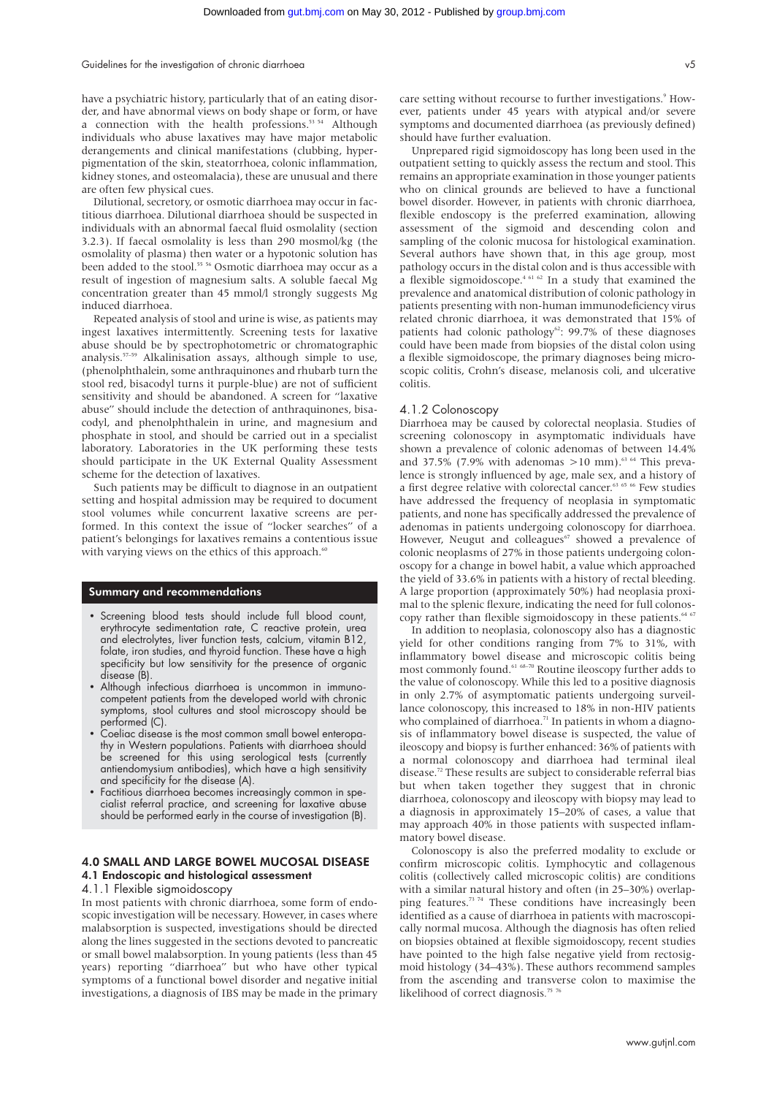have a psychiatric history, particularly that of an eating disorder, and have abnormal views on body shape or form, or have a connection with the health professions.<sup>53 54</sup> Although individuals who abuse laxatives may have major metabolic derangements and clinical manifestations (clubbing, hyperpigmentation of the skin, steatorrhoea, colonic inflammation, kidney stones, and osteomalacia), these are unusual and there are often few physical cues.

Dilutional, secretory, or osmotic diarrhoea may occur in factitious diarrhoea. Dilutional diarrhoea should be suspected in individuals with an abnormal faecal fluid osmolality (section 3.2.3). If faecal osmolality is less than 290 mosmol/kg (the osmolality of plasma) then water or a hypotonic solution has been added to the stool.<sup>55</sup> <sup>56</sup> Osmotic diarrhoea may occur as a result of ingestion of magnesium salts. A soluble faecal Mg concentration greater than 45 mmol/l strongly suggests Mg induced diarrhoea.

Repeated analysis of stool and urine is wise, as patients may ingest laxatives intermittently. Screening tests for laxative abuse should be by spectrophotometric or chromatographic analysis.57–59 Alkalinisation assays, although simple to use, (phenolphthalein, some anthraquinones and rhubarb turn the stool red, bisacodyl turns it purple-blue) are not of sufficient sensitivity and should be abandoned. A screen for "laxative abuse" should include the detection of anthraquinones, bisacodyl, and phenolphthalein in urine, and magnesium and phosphate in stool, and should be carried out in a specialist laboratory. Laboratories in the UK performing these tests should participate in the UK External Quality Assessment scheme for the detection of laxatives.

Such patients may be difficult to diagnose in an outpatient setting and hospital admission may be required to document stool volumes while concurrent laxative screens are performed. In this context the issue of "locker searches" of a patient's belongings for laxatives remains a contentious issue with varying views on the ethics of this approach.<sup>60</sup>

# Summary and recommendations

- Screening blood tests should include full blood count, erythrocyte sedimentation rate, C reactive protein, urea and electrolytes, liver function tests, calcium, vitamin B12, folate, iron studies, and thyroid function. These have a high specificity but low sensitivity for the presence of organic disease (B).
- Although infectious diarrhoea is uncommon in immunocompetent patients from the developed world with chronic symptoms, stool cultures and stool microscopy should be performed (C).
- Coeliac disease is the most common small bowel enteropathy in Western populations. Patients with diarrhoea should be screened for this using serological tests (currently antiendomysium antibodies), which have a high sensitivity and specificity for the disease (A).
- Factitious diarrhoea becomes increasingly common in specialist referral practice, and screening for laxative abuse should be performed early in the course of investigation (B).

# 4.0 SMALL AND LARGE BOWEL MUCOSAL DISEASE 4.1 Endoscopic and histological assessment

### 4.1.1 Flexible sigmoidoscopy

In most patients with chronic diarrhoea, some form of endoscopic investigation will be necessary. However, in cases where malabsorption is suspected, investigations should be directed along the lines suggested in the sections devoted to pancreatic or small bowel malabsorption. In young patients (less than 45 years) reporting "diarrhoea" but who have other typical symptoms of a functional bowel disorder and negative initial investigations, a diagnosis of IBS may be made in the primary care setting without recourse to further investigations.<sup>9</sup> However, patients under 45 years with atypical and/or severe symptoms and documented diarrhoea (as previously defined) should have further evaluation.

Unprepared rigid sigmoidoscopy has long been used in the outpatient setting to quickly assess the rectum and stool. This remains an appropriate examination in those younger patients who on clinical grounds are believed to have a functional bowel disorder. However, in patients with chronic diarrhoea, flexible endoscopy is the preferred examination, allowing assessment of the sigmoid and descending colon and sampling of the colonic mucosa for histological examination. Several authors have shown that, in this age group, most pathology occurs in the distal colon and is thus accessible with a flexible sigmoidoscope.<sup>4 61 62</sup> In a study that examined the prevalence and anatomical distribution of colonic pathology in patients presenting with non-human immunodeficiency virus related chronic diarrhoea, it was demonstrated that 15% of patients had colonic pathology<sup>62</sup>: 99.7% of these diagnoses could have been made from biopsies of the distal colon using a flexible sigmoidoscope, the primary diagnoses being microscopic colitis, Crohn's disease, melanosis coli, and ulcerative colitis.

### 4.1.2 Colonoscopy

Diarrhoea may be caused by colorectal neoplasia. Studies of screening colonoscopy in asymptomatic individuals have shown a prevalence of colonic adenomas of between 14.4% and 37.5% (7.9% with adenomas  $>10$  mm).<sup>63 64</sup> This prevalence is strongly influenced by age, male sex, and a history of a first degree relative with colorectal cancer.<sup>63</sup> <sup>65</sup> <sup>66</sup> Few studies have addressed the frequency of neoplasia in symptomatic patients, and none has specifically addressed the prevalence of adenomas in patients undergoing colonoscopy for diarrhoea. However, Neugut and colleagues $67$  showed a prevalence of colonic neoplasms of 27% in those patients undergoing colonoscopy for a change in bowel habit, a value which approached the yield of 33.6% in patients with a history of rectal bleeding. A large proportion (approximately 50%) had neoplasia proximal to the splenic flexure, indicating the need for full colonoscopy rather than flexible sigmoidoscopy in these patients. $64.67$ 

In addition to neoplasia, colonoscopy also has a diagnostic yield for other conditions ranging from 7% to 31%, with inflammatory bowel disease and microscopic colitis being most commonly found.61 68–70 Routine ileoscopy further adds to the value of colonoscopy. While this led to a positive diagnosis in only 2.7% of asymptomatic patients undergoing surveillance colonoscopy, this increased to 18% in non-HIV patients who complained of diarrhoea.<sup>71</sup> In patients in whom a diagnosis of inflammatory bowel disease is suspected, the value of ileoscopy and biopsy is further enhanced: 36% of patients with a normal colonoscopy and diarrhoea had terminal ileal disease.72 These results are subject to considerable referral bias but when taken together they suggest that in chronic diarrhoea, colonoscopy and ileoscopy with biopsy may lead to a diagnosis in approximately 15–20% of cases, a value that may approach 40% in those patients with suspected inflammatory bowel disease.

Colonoscopy is also the preferred modality to exclude or confirm microscopic colitis. Lymphocytic and collagenous colitis (collectively called microscopic colitis) are conditions with a similar natural history and often (in 25–30%) overlapping features.<sup>73 74</sup> These conditions have increasingly been identified as a cause of diarrhoea in patients with macroscopically normal mucosa. Although the diagnosis has often relied on biopsies obtained at flexible sigmoidoscopy, recent studies have pointed to the high false negative yield from rectosigmoid histology (34–43%). These authors recommend samples from the ascending and transverse colon to maximise the likelihood of correct diagnosis.<sup>75</sup><sup>76</sup>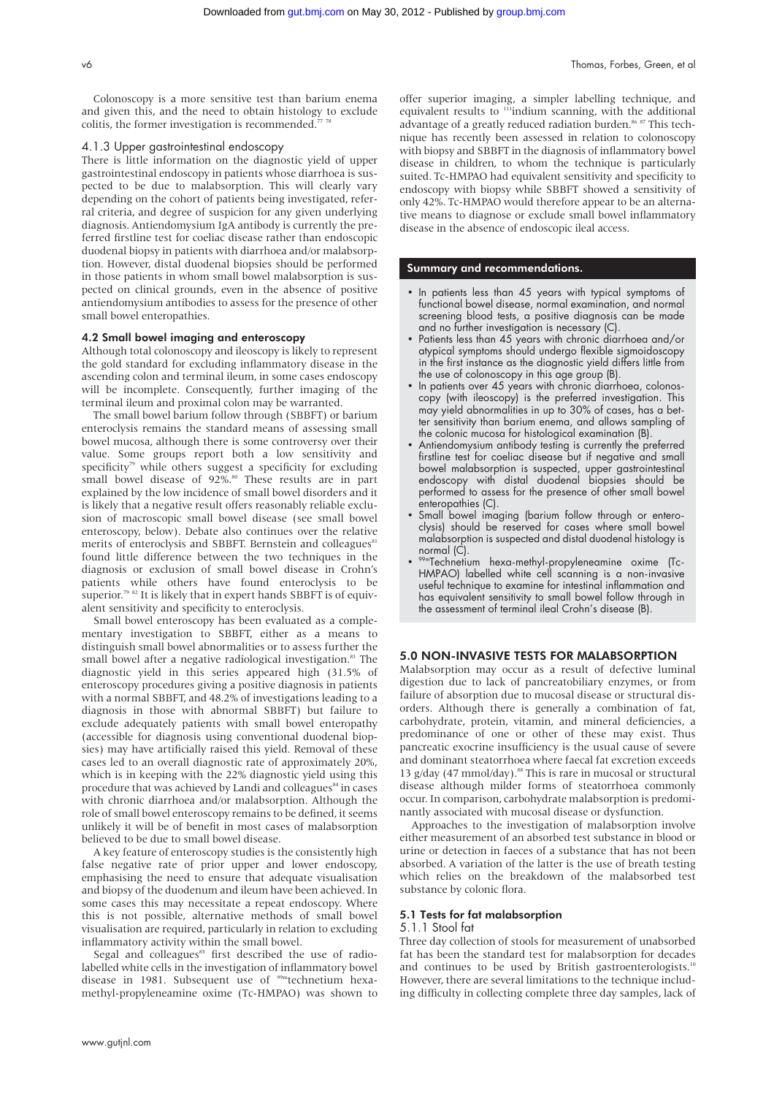Colonoscopy is a more sensitive test than barium enema and given this, and the need to obtain histology to exclude colitis, the former investigation is recommended.<sup>7</sup>

### 4.1.3 Upper gastrointestinal endoscopy

There is little information on the diagnostic yield of upper gastrointestinal endoscopy in patients whose diarrhoea is suspected to be due to malabsorption. This will clearly vary depending on the cohort of patients being investigated, referral criteria, and degree of suspicion for any given underlying diagnosis. Antiendomysium IgA antibody is currently the preferred firstline test for coeliac disease rather than endoscopic duodenal biopsy in patients with diarrhoea and/or malabsorption. However, distal duodenal biopsies should be performed in those patients in whom small bowel malabsorption is suspected on clinical grounds, even in the absence of positive antiendomysium antibodies to assess for the presence of other small bowel enteropathies.

### 4.2 Small bowel imaging and enteroscopy

Although total colonoscopy and ileoscopy is likely to represent the gold standard for excluding inflammatory disease in the ascending colon and terminal ileum, in some cases endoscopy will be incomplete. Consequently, further imaging of the terminal ileum and proximal colon may be warranted.

The small bowel barium follow through (SBBFT) or barium enteroclysis remains the standard means of assessing small bowel mucosa, although there is some controversy over their value. Some groups report both a low sensitivity and specificity<sup>79</sup> while others suggest a specificity for excluding small bowel disease of  $92\%$ .<sup>80</sup> These results are in part explained by the low incidence of small bowel disorders and it is likely that a negative result offers reasonably reliable exclusion of macroscopic small bowel disease (see small bowel enteroscopy, below). Debate also continues over the relative merits of enteroclysis and SBBFT. Bernstein and colleagues<sup>81</sup> found little difference between the two techniques in the diagnosis or exclusion of small bowel disease in Crohn's patients while others have found enteroclysis to be superior.<sup>79 82</sup> It is likely that in expert hands SBBFT is of equivalent sensitivity and specificity to enteroclysis.

Small bowel enteroscopy has been evaluated as a complementary investigation to SBBFT, either as a means to distinguish small bowel abnormalities or to assess further the small bowel after a negative radiological investigation.<sup>83</sup> The diagnostic yield in this series appeared high (31.5% of enteroscopy procedures giving a positive diagnosis in patients with a normal SBBFT, and 48.2% of investigations leading to a diagnosis in those with abnormal SBBFT) but failure to exclude adequately patients with small bowel enteropathy (accessible for diagnosis using conventional duodenal biopsies) may have artificially raised this yield. Removal of these cases led to an overall diagnostic rate of approximately 20%, which is in keeping with the 22% diagnostic yield using this procedure that was achieved by Landi and colleagues<sup>84</sup> in cases with chronic diarrhoea and/or malabsorption. Although the role of small bowel enteroscopy remains to be defined, it seems unlikely it will be of benefit in most cases of malabsorption believed to be due to small bowel disease.

A key feature of enteroscopy studies is the consistently high false negative rate of prior upper and lower endoscopy, emphasising the need to ensure that adequate visualisation and biopsy of the duodenum and ileum have been achieved. In some cases this may necessitate a repeat endoscopy. Where this is not possible, alternative methods of small bowel visualisation are required, particularly in relation to excluding inflammatory activity within the small bowel.

Segal and colleagues<sup>85</sup> first described the use of radiolabelled white cells in the investigation of inflammatory bowel disease in 1981. Subsequent use of <sup>99m</sup>technetium hexamethyl-propyleneamine oxime (Tc-HMPAO) was shown to offer superior imaging, a simpler labelling technique, and equivalent results to <sup>111</sup>indium scanning, with the additional advantage of a greatly reduced radiation burden.<sup>86 87</sup> This technique has recently been assessed in relation to colonoscopy with biopsy and SBBFT in the diagnosis of inflammatory bowel disease in children, to whom the technique is particularly suited. Tc-HMPAO had equivalent sensitivity and specificity to endoscopy with biopsy while SBBFT showed a sensitivity of only 42%. Tc-HMPAO would therefore appear to be an alternative means to diagnose or exclude small bowel inflammatory disease in the absence of endoscopic ileal access.

### Summary and recommendations.

- In patients less than 45 years with typical symptoms of functional bowel disease, normal examination, and normal screening blood tests, a positive diagnosis can be made and no further investigation is necessary (C).
- Patients less than 45 years with chronic diarrhoea and/or atypical symptoms should undergo flexible sigmoidoscopy in the first instance as the diagnostic yield differs little from the use of colonoscopy in this age group (B).
- In patients over 45 years with chronic diarrhoea, colonoscopy (with ileoscopy) is the preferred investigation. This may yield abnormalities in up to 30% of cases, has a better sensitivity than barium enema, and allows sampling of the colonic mucosa for histological examination (B).
- Antiendomysium antibody testing is currently the preferred firstline test for coeliac disease but if negative and small bowel malabsorption is suspected, upper gastrointestinal endoscopy with distal duodenal biopsies should be performed to assess for the presence of other small bowel enteropathies (C).
- Small bowel imaging (barium follow through or enteroclysis) should be reserved for cases where small bowel malabsorption is suspected and distal duodenal histology is normal (C).
- "Technetium hexa-methyl-propyleneamine oxime (Tc-HMPAO) labelled white cell scanning is a non-invasive useful technique to examine for intestinal inflammation and has equivalent sensitivity to small bowel follow through in the assessment of terminal ileal Crohn's disease (B).

### 5.0 NON-INVASIVE TESTS FOR MALABSORPTION

Malabsorption may occur as a result of defective luminal digestion due to lack of pancreatobiliary enzymes, or from failure of absorption due to mucosal disease or structural disorders. Although there is generally a combination of fat, carbohydrate, protein, vitamin, and mineral deficiencies, a predominance of one or other of these may exist. Thus pancreatic exocrine insufficiency is the usual cause of severe and dominant steatorrhoea where faecal fat excretion exceeds 13 g/day (47 mmol/day).<sup>88</sup> This is rare in mucosal or structural disease although milder forms of steatorrhoea commonly occur. In comparison, carbohydrate malabsorption is predominantly associated with mucosal disease or dysfunction.

Approaches to the investigation of malabsorption involve either measurement of an absorbed test substance in blood or urine or detection in faeces of a substance that has not been absorbed. A variation of the latter is the use of breath testing which relies on the breakdown of the malabsorbed test substance by colonic flora.

### 5.1 Tests for fat malabsorption

### 5.1.1 Stool fat

Three day collection of stools for measurement of unabsorbed fat has been the standard test for malabsorption for decades and continues to be used by British gastroenterologists.<sup>10</sup> However, there are several limitations to the technique including difficulty in collecting complete three day samples, lack of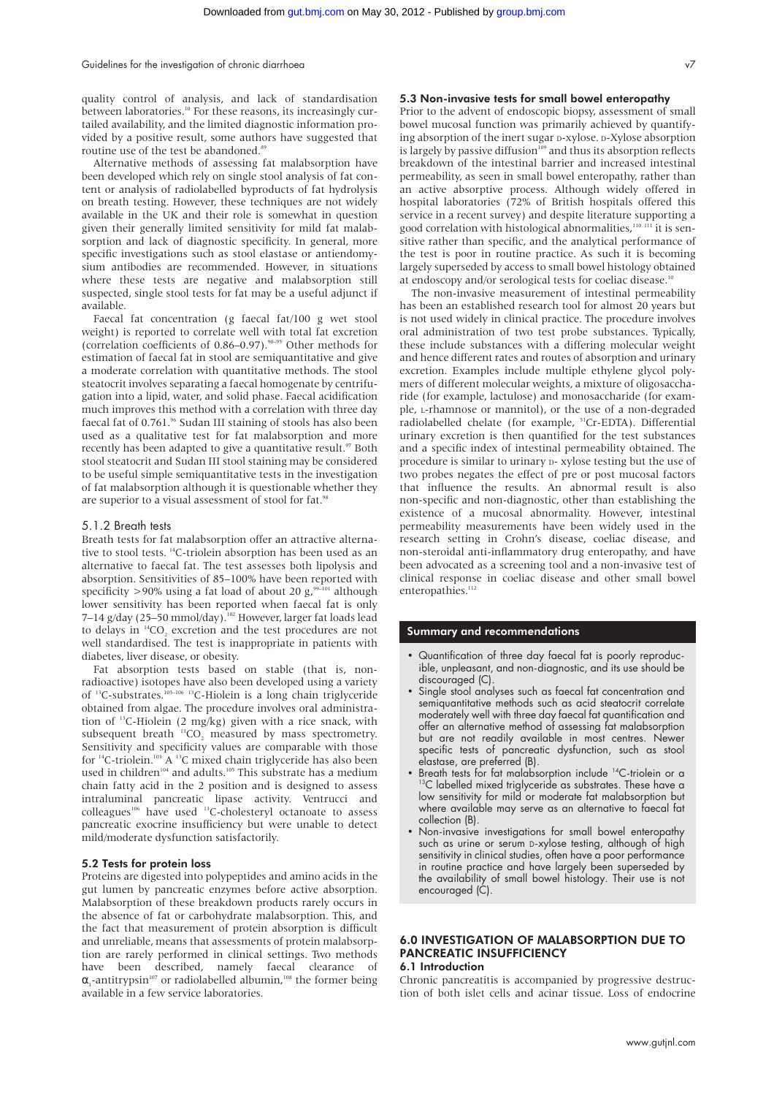quality control of analysis, and lack of standardisation between laboratories.<sup>10</sup> For these reasons, its increasingly curtailed availability, and the limited diagnostic information provided by a positive result, some authors have suggested that routine use of the test be abandoned.<sup>89</sup>

Alternative methods of assessing fat malabsorption have been developed which rely on single stool analysis of fat content or analysis of radiolabelled byproducts of fat hydrolysis on breath testing. However, these techniques are not widely available in the UK and their role is somewhat in question given their generally limited sensitivity for mild fat malabsorption and lack of diagnostic specificity. In general, more specific investigations such as stool elastase or antiendomysium antibodies are recommended. However, in situations where these tests are negative and malabsorption still suspected, single stool tests for fat may be a useful adjunct if available.

Faecal fat concentration (g faecal fat/100 g wet stool weight) is reported to correlate well with total fat excretion (correlation coefficients of 0.86–0.97).90–95 Other methods for estimation of faecal fat in stool are semiquantitative and give a moderate correlation with quantitative methods. The stool steatocrit involves separating a faecal homogenate by centrifugation into a lipid, water, and solid phase. Faecal acidification much improves this method with a correlation with three day faecal fat of 0.761.<sup>96</sup> Sudan III staining of stools has also been used as a qualitative test for fat malabsorption and more recently has been adapted to give a quantitative result.<sup>97</sup> Both stool steatocrit and Sudan III stool staining may be considered to be useful simple semiquantitative tests in the investigation of fat malabsorption although it is questionable whether they are superior to a visual assessment of stool for fat.<sup>98</sup>

#### 5.1.2 Breath tests

Breath tests for fat malabsorption offer an attractive alternative to stool tests. 14C-triolein absorption has been used as an alternative to faecal fat. The test assesses both lipolysis and absorption. Sensitivities of 85–100% have been reported with specificity >90% using a fat load of about 20  $g$ ,<sup>99-101</sup> although lower sensitivity has been reported when faecal fat is only 7–14 g/day (25–50 mmol/day).<sup>102</sup> However, larger fat loads lead to delays in <sup>14</sup>CO<sub>2</sub> excretion and the test procedures are not well standardised. The test is inappropriate in patients with diabetes, liver disease, or obesity.

Fat absorption tests based on stable (that is, nonradioactive) isotopes have also been developed using a variety of <sup>13</sup>C-substrates.<sup>103–106</sup> <sup>13</sup>C-Hiolein is a long chain triglyceride obtained from algae. The procedure involves oral administration of 13C-Hiolein (2 mg/kg) given with a rice snack, with subsequent breath <sup>13</sup>CO<sub>2</sub> measured by mass spectrometry. Sensitivity and specificity values are comparable with those for 14C-triolein.103 A 13C mixed chain triglyceride has also been used in children<sup>104</sup> and adults.<sup>105</sup> This substrate has a medium chain fatty acid in the 2 position and is designed to assess intraluminal pancreatic lipase activity. Ventrucci and colleagues<sup>106</sup> have used <sup>13</sup>C-cholesteryl octanoate to assess pancreatic exocrine insufficiency but were unable to detect mild/moderate dysfunction satisfactorily.

#### 5.2 Tests for protein loss

Proteins are digested into polypeptides and amino acids in the gut lumen by pancreatic enzymes before active absorption. Malabsorption of these breakdown products rarely occurs in the absence of fat or carbohydrate malabsorption. This, and the fact that measurement of protein absorption is difficult and unreliable, means that assessments of protein malabsorption are rarely performed in clinical settings. Two methods have been described, namely faecal clearance of  $\alpha_1$ -antitrypsin<sup>107</sup> or radiolabelled albumin,<sup>108</sup> the former being available in a few service laboratories.

## 5.3 Non-invasive tests for small bowel enteropathy

Prior to the advent of endoscopic biopsy, assessment of small bowel mucosal function was primarily achieved by quantifying absorption of the inert sugar **D-xylose**. D-Xylose absorption is largely by passive diffusion<sup>109</sup> and thus its absorption reflects breakdown of the intestinal barrier and increased intestinal permeability, as seen in small bowel enteropathy, rather than an active absorptive process. Although widely offered in hospital laboratories (72% of British hospitals offered this service in a recent survey) and despite literature supporting a good correlation with histological abnormalities,<sup>110</sup> <sup>111</sup> it is sensitive rather than specific, and the analytical performance of the test is poor in routine practice. As such it is becoming largely superseded by access to small bowel histology obtained at endoscopy and/or serological tests for coeliac disease.<sup>10</sup>

The non-invasive measurement of intestinal permeability has been an established research tool for almost 20 years but is not used widely in clinical practice. The procedure involves oral administration of two test probe substances. Typically, these include substances with a differing molecular weight and hence different rates and routes of absorption and urinary excretion. Examples include multiple ethylene glycol polymers of different molecular weights, a mixture of oligosaccharide (for example, lactulose) and monosaccharide (for example, L-rhamnose or mannitol), or the use of a non-degraded radiolabelled chelate (for example, <sup>51</sup>Cr-EDTA). Differential urinary excretion is then quantified for the test substances and a specific index of intestinal permeability obtained. The procedure is similar to urinary D- xylose testing but the use of two probes negates the effect of pre or post mucosal factors that influence the results. An abnormal result is also non-specific and non-diagnostic, other than establishing the existence of a mucosal abnormality. However, intestinal permeability measurements have been widely used in the research setting in Crohn's disease, coeliac disease, and non-steroidal anti-inflammatory drug enteropathy, and have been advocated as a screening tool and a non-invasive test of clinical response in coeliac disease and other small bowel enteropathies.<sup>112</sup>

### Summary and recommendations

- Quantification of three day faecal fat is poorly reproducible, unpleasant, and non-diagnostic, and its use should be discouraged (C).
- Single stool analyses such as faecal fat concentration and semiquantitative methods such as acid steatocrit correlate moderately well with three day faecal fat quantification and offer an alternative method of assessing fat malabsorption but are not readily available in most centres. Newer specific tests of pancreatic dysfunction, such as stool elastase, are preferred (B).
- Breath tests for fat malabsorption include <sup>14</sup>C-triolein or a  $13C$  labelled mixed triglyceride as substrates. These have a low sensitivity for mild or moderate fat malabsorption but where available may serve as an alternative to faecal fat collection (B).
- Non-invasive investigations for small bowel enteropathy such as urine or serum <sup>D</sup>-xylose testing, although of high sensitivity in clinical studies, often have a poor performance in routine practice and have largely been superseded by the availability of small bowel histology. Their use is not encouraged (C).

# 6.0 INVESTIGATION OF MALABSORPTION DUE TO PANCREATIC INSUFFICIENCY

# 6.1 Introduction

Chronic pancreatitis is accompanied by progressive destruction of both islet cells and acinar tissue. Loss of endocrine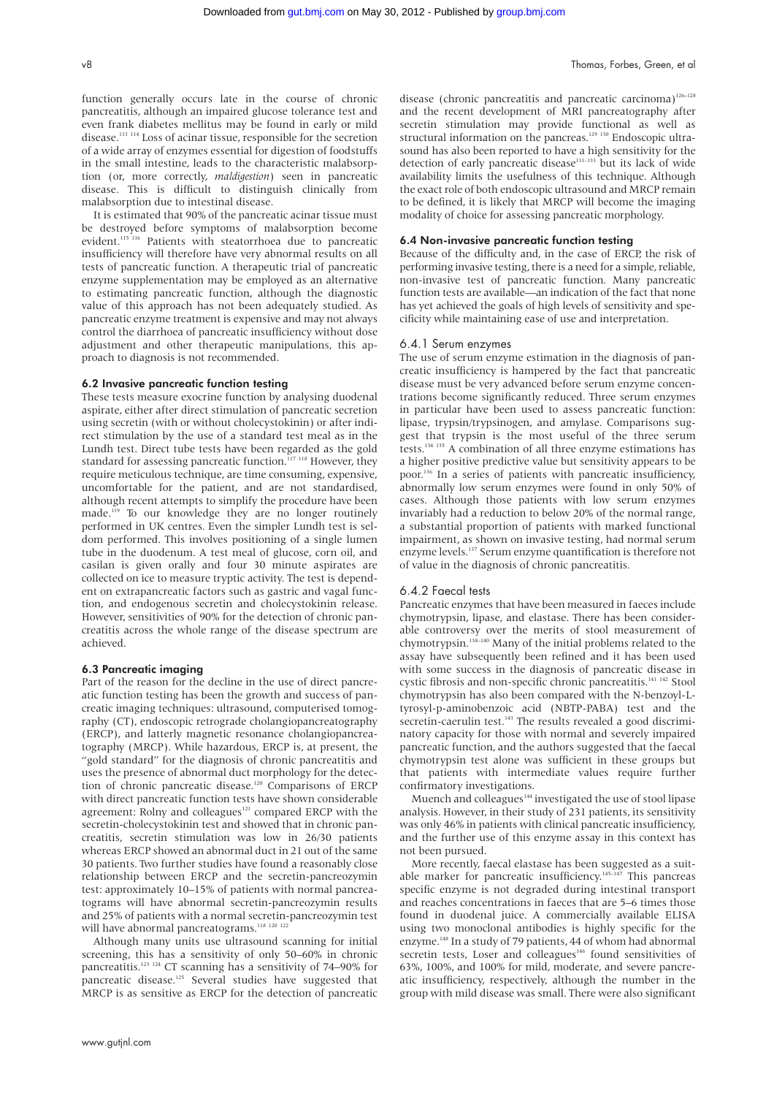function generally occurs late in the course of chronic pancreatitis, although an impaired glucose tolerance test and even frank diabetes mellitus may be found in early or mild disease.113 114 Loss of acinar tissue, responsible for the secretion of a wide array of enzymes essential for digestion of foodstuffs in the small intestine, leads to the characteristic malabsorption (or, more correctly, *maldigestion*) seen in pancreatic disease. This is difficult to distinguish clinically from malabsorption due to intestinal disease.

It is estimated that 90% of the pancreatic acinar tissue must be destroyed before symptoms of malabsorption become evident.<sup>115 116</sup> Patients with steatorrhoea due to pancreatic insufficiency will therefore have very abnormal results on all tests of pancreatic function. A therapeutic trial of pancreatic enzyme supplementation may be employed as an alternative to estimating pancreatic function, although the diagnostic value of this approach has not been adequately studied. As pancreatic enzyme treatment is expensive and may not always control the diarrhoea of pancreatic insufficiency without dose adjustment and other therapeutic manipulations, this approach to diagnosis is not recommended.

### 6.2 Invasive pancreatic function testing

These tests measure exocrine function by analysing duodenal aspirate, either after direct stimulation of pancreatic secretion using secretin (with or without cholecystokinin) or after indirect stimulation by the use of a standard test meal as in the Lundh test. Direct tube tests have been regarded as the gold standard for assessing pancreatic function.<sup>117 118</sup> However, they require meticulous technique, are time consuming, expensive, uncomfortable for the patient, and are not standardised, although recent attempts to simplify the procedure have been made.<sup>119</sup> To our knowledge they are no longer routinely performed in UK centres. Even the simpler Lundh test is seldom performed. This involves positioning of a single lumen tube in the duodenum. A test meal of glucose, corn oil, and casilan is given orally and four 30 minute aspirates are collected on ice to measure tryptic activity. The test is dependent on extrapancreatic factors such as gastric and vagal function, and endogenous secretin and cholecystokinin release. However, sensitivities of 90% for the detection of chronic pancreatitis across the whole range of the disease spectrum are achieved.

### 6.3 Pancreatic imaging

Part of the reason for the decline in the use of direct pancreatic function testing has been the growth and success of pancreatic imaging techniques: ultrasound, computerised tomography (CT), endoscopic retrograde cholangiopancreatography (ERCP), and latterly magnetic resonance cholangiopancreatography (MRCP). While hazardous, ERCP is, at present, the "gold standard" for the diagnosis of chronic pancreatitis and uses the presence of abnormal duct morphology for the detection of chronic pancreatic disease.120 Comparisons of ERCP with direct pancreatic function tests have shown considerable agreement: Rolny and colleagues<sup>121</sup> compared ERCP with the secretin-cholecystokinin test and showed that in chronic pancreatitis, secretin stimulation was low in 26/30 patients whereas ERCP showed an abnormal duct in 21 out of the same 30 patients. Two further studies have found a reasonably close relationship between ERCP and the secretin-pancreozymin test: approximately 10–15% of patients with normal pancreatograms will have abnormal secretin-pancreozymin results and 25% of patients with a normal secretin-pancreozymin test will have abnormal pancreatograms.<sup>118 120</sup> 12

Although many units use ultrasound scanning for initial screening, this has a sensitivity of only 50–60% in chronic pancreatitis.123 124 CT scanning has a sensitivity of 74–90% for pancreatic disease.<sup>125</sup> Several studies have suggested that MRCP is as sensitive as ERCP for the detection of pancreatic disease (chronic pancreatitis and pancreatic carcinoma)<sup>126–128</sup> and the recent development of MRI pancreatography after secretin stimulation may provide functional as well as structural information on the pancreas.<sup>129</sup> <sup>130</sup> Endoscopic ultrasound has also been reported to have a high sensitivity for the detection of early pancreatic disease<sup>131-133</sup> but its lack of wide availability limits the usefulness of this technique. Although the exact role of both endoscopic ultrasound and MRCP remain to be defined, it is likely that MRCP will become the imaging modality of choice for assessing pancreatic morphology.

### 6.4 Non-invasive pancreatic function testing

Because of the difficulty and, in the case of ERCP, the risk of performing invasive testing, there is a need for a simple, reliable, non-invasive test of pancreatic function. Many pancreatic function tests are available—an indication of the fact that none has yet achieved the goals of high levels of sensitivity and specificity while maintaining ease of use and interpretation.

#### 6.4.1 Serum enzymes

The use of serum enzyme estimation in the diagnosis of pancreatic insufficiency is hampered by the fact that pancreatic disease must be very advanced before serum enzyme concentrations become significantly reduced. Three serum enzymes in particular have been used to assess pancreatic function: lipase, trypsin/trypsinogen, and amylase. Comparisons suggest that trypsin is the most useful of the three serum tests.134 135 A combination of all three enzyme estimations has a higher positive predictive value but sensitivity appears to be poor.136 In a series of patients with pancreatic insufficiency, abnormally low serum enzymes were found in only 50% of cases. Although those patients with low serum enzymes invariably had a reduction to below 20% of the normal range, a substantial proportion of patients with marked functional impairment, as shown on invasive testing, had normal serum enzyme levels.137 Serum enzyme quantification is therefore not of value in the diagnosis of chronic pancreatitis.

### 6.4.2 Faecal tests

Pancreatic enzymes that have been measured in faeces include chymotrypsin, lipase, and elastase. There has been considerable controversy over the merits of stool measurement of chymotrypsin.138–140 Many of the initial problems related to the assay have subsequently been refined and it has been used with some success in the diagnosis of pancreatic disease in cystic fibrosis and non-specific chronic pancreatitis.<sup>141 142</sup> Stool chymotrypsin has also been compared with the N-benzoyl-Ltyrosyl-p-aminobenzoic acid (NBTP-PABA) test and the secretin-caerulin test.<sup>143</sup> The results revealed a good discriminatory capacity for those with normal and severely impaired pancreatic function, and the authors suggested that the faecal chymotrypsin test alone was sufficient in these groups but that patients with intermediate values require further confirmatory investigations.

Muench and colleagues<sup>144</sup> investigated the use of stool lipase analysis. However, in their study of 231 patients, its sensitivity was only 46% in patients with clinical pancreatic insufficiency, and the further use of this enzyme assay in this context has not been pursued.

More recently, faecal elastase has been suggested as a suitable marker for pancreatic insufficiency.<sup>145-147</sup> This pancreas specific enzyme is not degraded during intestinal transport and reaches concentrations in faeces that are 5–6 times those found in duodenal juice. A commercially available ELISA using two monoclonal antibodies is highly specific for the enzyme.<sup>148</sup> In a study of 79 patients, 44 of whom had abnormal secretin tests, Loser and colleagues<sup>146</sup> found sensitivities of 63%, 100%, and 100% for mild, moderate, and severe pancreatic insufficiency, respectively, although the number in the group with mild disease was small. There were also significant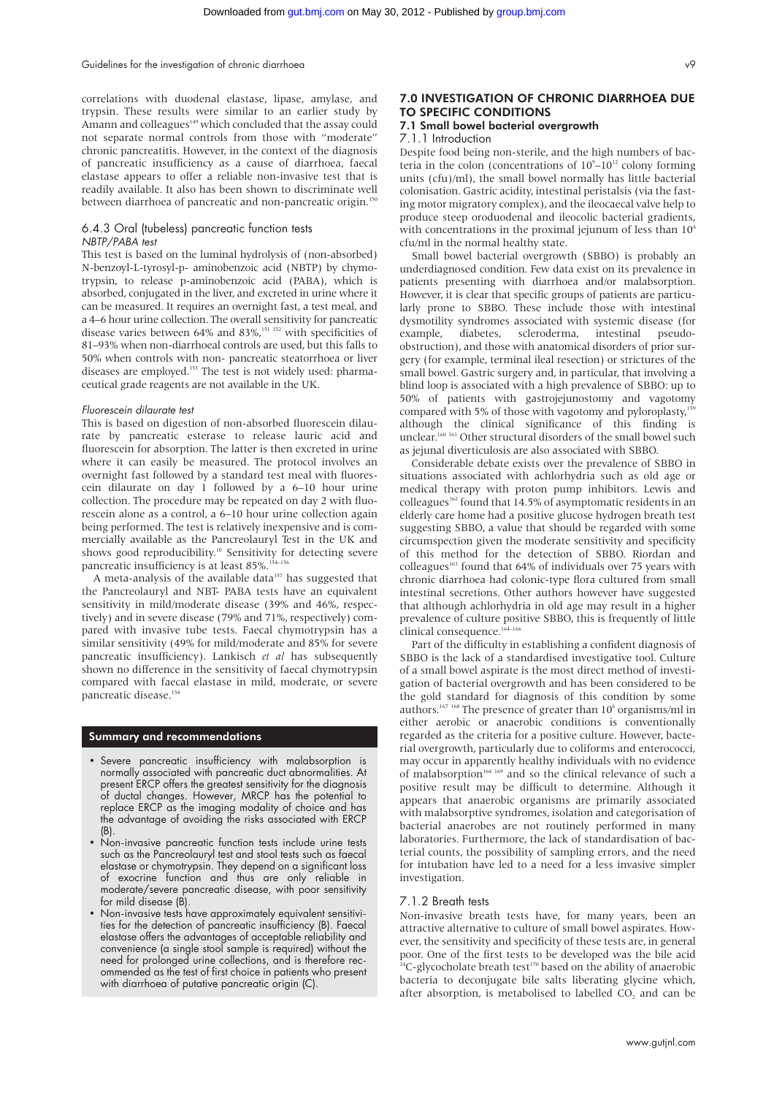correlations with duodenal elastase, lipase, amylase, and trypsin. These results were similar to an earlier study by Amann and colleagues<sup>149</sup> which concluded that the assay could not separate normal controls from those with "moderate" chronic pancreatitis. However, in the context of the diagnosis of pancreatic insufficiency as a cause of diarrhoea, faecal elastase appears to offer a reliable non-invasive test that is readily available. It also has been shown to discriminate well between diarrhoea of pancreatic and non-pancreatic origin.<sup>150</sup>

### 6.4.3 Oral (tubeless) pancreatic function tests *NBTP/PABA test*

This test is based on the luminal hydrolysis of (non-absorbed) N-benzoyl-L-tyrosyl-p- aminobenzoic acid (NBTP) by chymotrypsin, to release p-aminobenzoic acid (PABA), which is absorbed, conjugated in the liver, and excreted in urine where it can be measured. It requires an overnight fast, a test meal, and a 4–6 hour urine collection. The overall sensitivity for pancreatic disease varies between 64% and 83%,<sup>151 152</sup> with specificities of 81–93% when non-diarrhoeal controls are used, but this falls to 50% when controls with non- pancreatic steatorrhoea or liver diseases are employed.<sup>153</sup> The test is not widely used: pharmaceutical grade reagents are not available in the UK.

### *Fluorescein dilaurate test*

This is based on digestion of non-absorbed fluorescein dilaurate by pancreatic esterase to release lauric acid and fluorescein for absorption. The latter is then excreted in urine where it can easily be measured. The protocol involves an overnight fast followed by a standard test meal with fluorescein dilaurate on day 1 followed by a 6–10 hour urine collection. The procedure may be repeated on day 2 with fluorescein alone as a control, a 6–10 hour urine collection again being performed. The test is relatively inexpensive and is commercially available as the Pancreolauryl Test in the UK and shows good reproducibility.<sup>10</sup> Sensitivity for detecting severe pancreatic insufficiency is at least 85%.<sup>154–156</sup>

A meta-analysis of the available data<sup>157</sup> has suggested that the Pancreolauryl and NBT- PABA tests have an equivalent sensitivity in mild/moderate disease (39% and 46%, respectively) and in severe disease (79% and 71%, respectively) compared with invasive tube tests. Faecal chymotrypsin has a similar sensitivity (49% for mild/moderate and 85% for severe pancreatic insufficiency). Lankisch *et al* has subsequently shown no difference in the sensitivity of faecal chymotrypsin compared with faecal elastase in mild, moderate, or severe pancreatic disease.<sup>15</sup>

### Summary and recommendations

- Severe pancreatic insufficiency with malabsorption is normally associated with pancreatic duct abnormalities. At present ERCP offers the greatest sensitivity for the diagnosis of ductal changes. However, MRCP has the potential to replace ERCP as the imaging modality of choice and has the advantage of avoiding the risks associated with ERCP (B).
- Non-invasive pancreatic function tests include urine tests such as the Pancreolauryl test and stool tests such as faecal elastase or chymotrypsin. They depend on a significant loss of exocrine function and thus are only reliable in moderate/severe pancreatic disease, with poor sensitivity for mild disease (B).
- Non-invasive tests have approximately equivalent sensitivities for the detection of pancreatic insufficiency (B). Faecal elastase offers the advantages of acceptable reliability and convenience (a single stool sample is required) without the need for prolonged urine collections, and is therefore recommended as the test of first choice in patients who present with diarrhoea of putative pancreatic origin (C).

# 7.0 INVESTIGATION OF CHRONIC DIARRHOEA DUE TO SPECIFIC CONDITIONS

# 7.1 Small bowel bacterial overgrowth

## 7.1.1 Introduction

Despite food being non-sterile, and the high numbers of bacteria in the colon (concentrations of  $10^{\circ}-10^{\circ}$  colony forming units (cfu)/ml), the small bowel normally has little bacterial colonisation. Gastric acidity, intestinal peristalsis (via the fasting motor migratory complex), and the ileocaecal valve help to produce steep oroduodenal and ileocolic bacterial gradients, with concentrations in the proximal jejunum of less than  $10^4$ cfu/ml in the normal healthy state.

Small bowel bacterial overgrowth (SBBO) is probably an underdiagnosed condition. Few data exist on its prevalence in patients presenting with diarrhoea and/or malabsorption. However, it is clear that specific groups of patients are particularly prone to SBBO. These include those with intestinal dysmotility syndromes associated with systemic disease (for example, diabetes, scleroderma, intestinal pseudoobstruction), and those with anatomical disorders of prior surgery (for example, terminal ileal resection) or strictures of the small bowel. Gastric surgery and, in particular, that involving a blind loop is associated with a high prevalence of SBBO: up to 50% of patients with gastrojejunostomy and vagotomy compared with 5% of those with vagotomy and pyloroplasty, $159$ although the clinical significance of this finding is unclear.160 161 Other structural disorders of the small bowel such as jejunal diverticulosis are also associated with SBBO.

Considerable debate exists over the prevalence of SBBO in situations associated with achlorhydria such as old age or medical therapy with proton pump inhibitors. Lewis and colleagues<sup>162</sup> found that 14.5% of asymptomatic residents in an elderly care home had a positive glucose hydrogen breath test suggesting SBBO, a value that should be regarded with some circumspection given the moderate sensitivity and specificity of this method for the detection of SBBO. Riordan and  $\text{colle}$  colleagues<sup>163</sup> found that 64% of individuals over 75 years with chronic diarrhoea had colonic-type flora cultured from small intestinal secretions. Other authors however have suggested that although achlorhydria in old age may result in a higher prevalence of culture positive SBBO, this is frequently of little clinical consequence.<sup>164-1</sup>

Part of the difficulty in establishing a confident diagnosis of SBBO is the lack of a standardised investigative tool. Culture of a small bowel aspirate is the most direct method of investigation of bacterial overgrowth and has been considered to be the gold standard for diagnosis of this condition by some authors.<sup>167 168</sup> The presence of greater than 10<sup>6</sup> organisms/ml in either aerobic or anaerobic conditions is conventionally regarded as the criteria for a positive culture. However, bacterial overgrowth, particularly due to coliforms and enterococci, may occur in apparently healthy individuals with no evidence of malabsorption<sup>164 169</sup> and so the clinical relevance of such a positive result may be difficult to determine. Although it appears that anaerobic organisms are primarily associated with malabsorptive syndromes, isolation and categorisation of bacterial anaerobes are not routinely performed in many laboratories. Furthermore, the lack of standardisation of bacterial counts, the possibility of sampling errors, and the need for intubation have led to a need for a less invasive simpler investigation.

### 7.1.2 Breath tests

Non-invasive breath tests have, for many years, been an attractive alternative to culture of small bowel aspirates. However, the sensitivity and specificity of these tests are, in general poor. One of the first tests to be developed was the bile acid  $14^1C$ -glycocholate breath test<sup>170</sup> based on the ability of anaerobic bacteria to deconjugate bile salts liberating glycine which, after absorption, is metabolised to labelled CO, and can be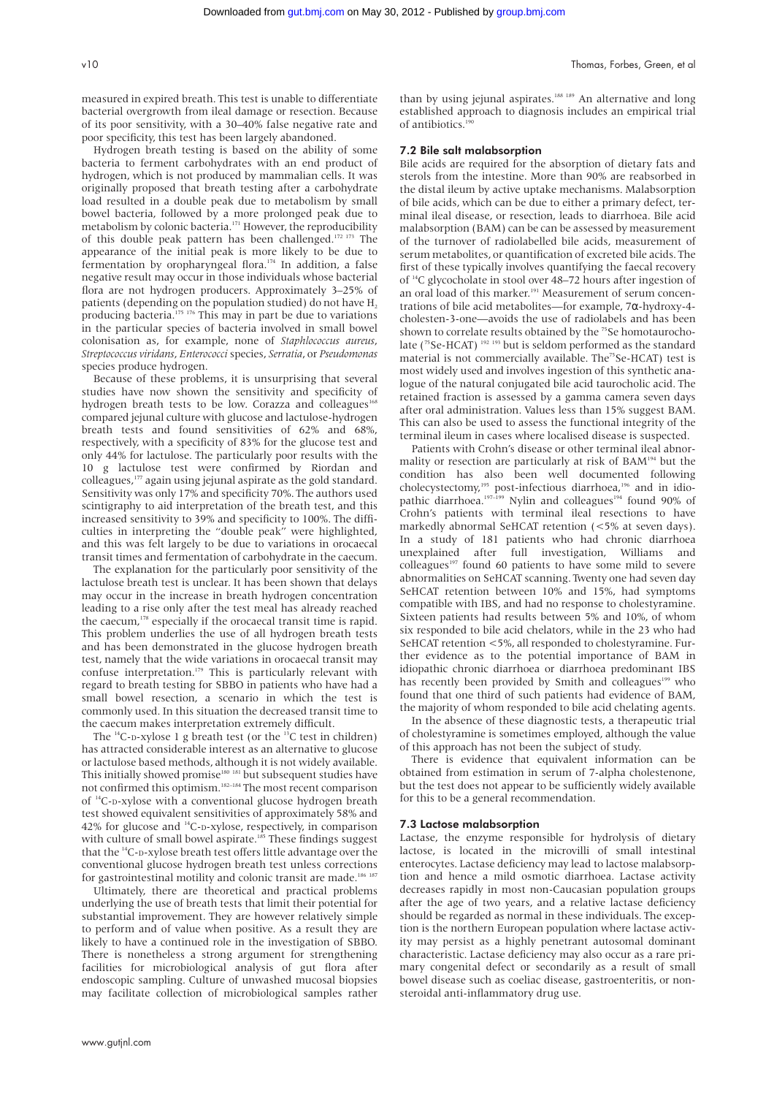measured in expired breath. This test is unable to differentiate bacterial overgrowth from ileal damage or resection. Because of its poor sensitivity, with a 30–40% false negative rate and poor specificity, this test has been largely abandoned.

Hydrogen breath testing is based on the ability of some bacteria to ferment carbohydrates with an end product of hydrogen, which is not produced by mammalian cells. It was originally proposed that breath testing after a carbohydrate load resulted in a double peak due to metabolism by small bowel bacteria, followed by a more prolonged peak due to metabolism by colonic bacteria.<sup>171</sup> However, the reproducibility of this double peak pattern has been challenged.172 173 The appearance of the initial peak is more likely to be due to fermentation by oropharyngeal flora.<sup>174</sup> In addition, a false negative result may occur in those individuals whose bacterial flora are not hydrogen producers. Approximately 3–25% of patients (depending on the population studied) do not have H, producing bacteria.<sup>175 176</sup> This may in part be due to variations in the particular species of bacteria involved in small bowel colonisation as, for example, none of *Staphlococcus aureus*, *Streptococcus viridans*, *Enterococci* species, *Serratia*, or *Pseudomonas* species produce hydrogen.

Because of these problems, it is unsurprising that several studies have now shown the sensitivity and specificity of hydrogen breath tests to be low. Corazza and colleagues<sup>168</sup> compared jejunal culture with glucose and lactulose-hydrogen breath tests and found sensitivities of 62% and 68%, respectively, with a specificity of 83% for the glucose test and only 44% for lactulose. The particularly poor results with the 10 g lactulose test were confirmed by Riordan and colleagues,<sup>177</sup> again using jejunal aspirate as the gold standard. Sensitivity was only 17% and specificity 70%. The authors used scintigraphy to aid interpretation of the breath test, and this increased sensitivity to 39% and specificity to 100%. The difficulties in interpreting the "double peak" were highlighted, and this was felt largely to be due to variations in orocaecal transit times and fermentation of carbohydrate in the caecum.

The explanation for the particularly poor sensitivity of the lactulose breath test is unclear. It has been shown that delays may occur in the increase in breath hydrogen concentration leading to a rise only after the test meal has already reached the caecum,<sup>178</sup> especially if the orocaecal transit time is rapid. This problem underlies the use of all hydrogen breath tests and has been demonstrated in the glucose hydrogen breath test, namely that the wide variations in orocaecal transit may confuse interpretation.<sup>179</sup> This is particularly relevant with regard to breath testing for SBBO in patients who have had a small bowel resection, a scenario in which the test is commonly used. In this situation the decreased transit time to the caecum makes interpretation extremely difficult.

The  $^{14}$ C-D-xylose 1 g breath test (or the  $^{13}$ C test in children) has attracted considerable interest as an alternative to glucose or lactulose based methods, although it is not widely available. This initially showed promise<sup>180 181</sup> but subsequent studies have not confirmed this optimism.<sup>182–184</sup> The most recent comparison of 14C-D-xylose with a conventional glucose hydrogen breath test showed equivalent sensitivities of approximately 58% and 42% for glucose and <sup>14</sup>C-D-xylose, respectively, in comparison with culture of small bowel aspirate.<sup>185</sup> These findings suggest that the 14C-D-xylose breath test offers little advantage over the conventional glucose hydrogen breath test unless corrections for gastrointestinal motility and colonic transit are made.<sup>186</sup>

Ultimately, there are theoretical and practical problems underlying the use of breath tests that limit their potential for substantial improvement. They are however relatively simple to perform and of value when positive. As a result they are likely to have a continued role in the investigation of SBBO. There is nonetheless a strong argument for strengthening facilities for microbiological analysis of gut flora after endoscopic sampling. Culture of unwashed mucosal biopsies may facilitate collection of microbiological samples rather

than by using jejunal aspirates.<sup>188 189</sup> An alternative and long established approach to diagnosis includes an empirical trial of antibiotics.<sup>1</sup>

#### 7.2 Bile salt malabsorption

Bile acids are required for the absorption of dietary fats and sterols from the intestine. More than 90% are reabsorbed in the distal ileum by active uptake mechanisms. Malabsorption of bile acids, which can be due to either a primary defect, terminal ileal disease, or resection, leads to diarrhoea. Bile acid malabsorption (BAM) can be can be assessed by measurement of the turnover of radiolabelled bile acids, measurement of serum metabolites, or quantification of excreted bile acids. The first of these typically involves quantifying the faecal recovery of 14C glycocholate in stool over 48–72 hours after ingestion of an oral load of this marker.<sup>191</sup> Measurement of serum concentrations of bile acid metabolites—for example, 7α-hydroxy-4 cholesten-3-one—avoids the use of radiolabels and has been shown to correlate results obtained by the <sup>75</sup>Se homotaurocholate (<sup>75</sup>Se-HCAT)<sup>192 193</sup> but is seldom performed as the standard material is not commercially available. The<sup>75</sup>Se-HCAT) test is most widely used and involves ingestion of this synthetic analogue of the natural conjugated bile acid taurocholic acid. The retained fraction is assessed by a gamma camera seven days after oral administration. Values less than 15% suggest BAM. This can also be used to assess the functional integrity of the terminal ileum in cases where localised disease is suspected.

Patients with Crohn's disease or other terminal ileal abnormality or resection are particularly at risk of BAM<sup>194</sup> but the condition has also been well documented following cholecystectomy,<sup>195</sup> post-infectious diarrhoea,<sup>196</sup> and in idiopathic diarrhoea.<sup>197–199</sup> Nylin and colleagues<sup>194</sup> found 90% of Crohn's patients with terminal ileal resections to have markedly abnormal SeHCAT retention (<5% at seven days). In a study of 181 patients who had chronic diarrhoea unexplained after full investigation, Williams and colleagues<sup>197</sup> found 60 patients to have some mild to severe abnormalities on SeHCAT scanning. Twenty one had seven day SeHCAT retention between 10% and 15%, had symptoms compatible with IBS, and had no response to cholestyramine. Sixteen patients had results between 5% and 10%, of whom six responded to bile acid chelators, while in the 23 who had SeHCAT retention <5%, all responded to cholestyramine. Further evidence as to the potential importance of BAM in idiopathic chronic diarrhoea or diarrhoea predominant IBS has recently been provided by Smith and colleagues<sup>199</sup> who found that one third of such patients had evidence of BAM, the majority of whom responded to bile acid chelating agents.

In the absence of these diagnostic tests, a therapeutic trial of cholestyramine is sometimes employed, although the value of this approach has not been the subject of study.

There is evidence that equivalent information can be obtained from estimation in serum of 7-alpha cholestenone, but the test does not appear to be sufficiently widely available for this to be a general recommendation.

### 7.3 Lactose malabsorption

Lactase, the enzyme responsible for hydrolysis of dietary lactose, is located in the microvilli of small intestinal enterocytes. Lactase deficiency may lead to lactose malabsorption and hence a mild osmotic diarrhoea. Lactase activity decreases rapidly in most non-Caucasian population groups after the age of two years, and a relative lactase deficiency should be regarded as normal in these individuals. The exception is the northern European population where lactase activity may persist as a highly penetrant autosomal dominant characteristic. Lactase deficiency may also occur as a rare primary congenital defect or secondarily as a result of small bowel disease such as coeliac disease, gastroenteritis, or nonsteroidal anti-inflammatory drug use.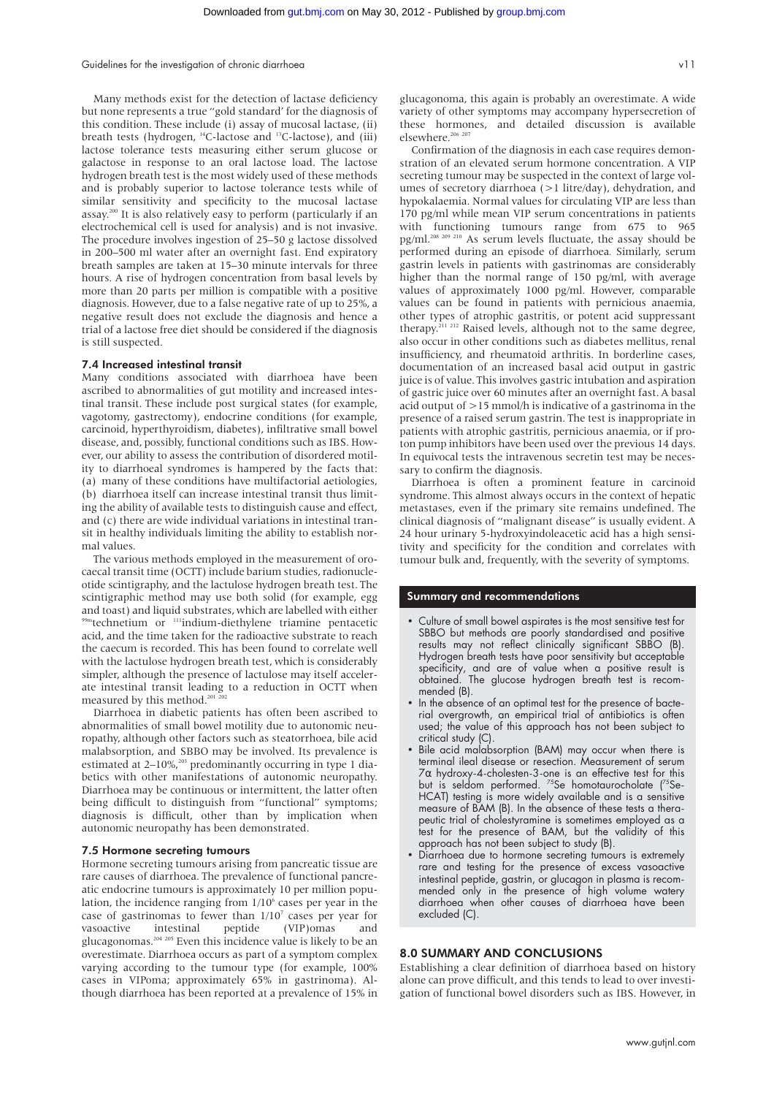### Guidelines for the investigation of chronic diarrhoea v11

Many methods exist for the detection of lactase deficiency but none represents a true "gold standard' for the diagnosis of this condition. These include (i) assay of mucosal lactase, (ii) breath tests (hydrogen, <sup>14</sup>C-lactose and <sup>13</sup>C-lactose), and (iii) lactose tolerance tests measuring either serum glucose or galactose in response to an oral lactose load. The lactose hydrogen breath test is the most widely used of these methods and is probably superior to lactose tolerance tests while of similar sensitivity and specificity to the mucosal lactase assay.200 It is also relatively easy to perform (particularly if an electrochemical cell is used for analysis) and is not invasive. The procedure involves ingestion of 25–50 g lactose dissolved in 200–500 ml water after an overnight fast. End expiratory breath samples are taken at 15–30 minute intervals for three hours. A rise of hydrogen concentration from basal levels by more than 20 parts per million is compatible with a positive diagnosis. However, due to a false negative rate of up to 25%, a negative result does not exclude the diagnosis and hence a trial of a lactose free diet should be considered if the diagnosis is still suspected.

### 7.4 Increased intestinal transit

Many conditions associated with diarrhoea have been ascribed to abnormalities of gut motility and increased intestinal transit. These include post surgical states (for example, vagotomy, gastrectomy), endocrine conditions (for example, carcinoid, hyperthyroidism, diabetes), infiltrative small bowel disease, and, possibly, functional conditions such as IBS. However, our ability to assess the contribution of disordered motility to diarrhoeal syndromes is hampered by the facts that: (a) many of these conditions have multifactorial aetiologies, (b) diarrhoea itself can increase intestinal transit thus limiting the ability of available tests to distinguish cause and effect, and (c) there are wide individual variations in intestinal transit in healthy individuals limiting the ability to establish normal values.

The various methods employed in the measurement of orocaecal transit time (OCTT) include barium studies, radionucleotide scintigraphy, and the lactulose hydrogen breath test. The scintigraphic method may use both solid (for example, egg and toast) and liquid substrates, which are labelled with either 99mtechnetium or <sup>111</sup>indium-diethylene triamine pentacetic acid, and the time taken for the radioactive substrate to reach the caecum is recorded. This has been found to correlate well with the lactulose hydrogen breath test, which is considerably simpler, although the presence of lactulose may itself accelerate intestinal transit leading to a reduction in OCTT when measured by this method.<sup>201</sup> <sup>202</sup>

Diarrhoea in diabetic patients has often been ascribed to abnormalities of small bowel motility due to autonomic neuropathy, although other factors such as steatorrhoea, bile acid malabsorption, and SBBO may be involved. Its prevalence is estimated at 2–10%,<sup>203</sup> predominantly occurring in type 1 diabetics with other manifestations of autonomic neuropathy. Diarrhoea may be continuous or intermittent, the latter often being difficult to distinguish from "functional" symptoms; diagnosis is difficult, other than by implication when autonomic neuropathy has been demonstrated.

### 7.5 Hormone secreting tumours

Hormone secreting tumours arising from pancreatic tissue are rare causes of diarrhoea. The prevalence of functional pancreatic endocrine tumours is approximately 10 per million population, the incidence ranging from  $1/10<sup>6</sup>$  cases per year in the case of gastrinomas to fewer than  $1/10^7$  cases per year for<br>vasoactive intestinal peptide (VIP)omas and vasoactive intestinal peptide (VIP)omas and glucagonomas.<sup>204 205</sup> Even this incidence value is likely to be an overestimate. Diarrhoea occurs as part of a symptom complex varying according to the tumour type (for example, 100% cases in VIPoma; approximately 65% in gastrinoma). Although diarrhoea has been reported at a prevalence of 15% in

glucagonoma, this again is probably an overestimate. A wide variety of other symptoms may accompany hypersecretion of these hormones, and detailed discussion is available elsewhere.<sup>206</sup><sup>207</sup>

Confirmation of the diagnosis in each case requires demonstration of an elevated serum hormone concentration. A VIP secreting tumour may be suspected in the context of large volumes of secretory diarrhoea (>1 litre/day), dehydration, and hypokalaemia. Normal values for circulating VIP are less than 170 pg/ml while mean VIP serum concentrations in patients with functioning tumours range from 675 to 965 pg/ml.208 209 210 As serum levels fluctuate, the assay should be performed during an episode of diarrhoea*.* Similarly, serum gastrin levels in patients with gastrinomas are considerably higher than the normal range of 150 pg/ml, with average values of approximately 1000 pg/ml. However, comparable values can be found in patients with pernicious anaemia, other types of atrophic gastritis, or potent acid suppressant therapy.<sup>211 212</sup> Raised levels, although not to the same degree, also occur in other conditions such as diabetes mellitus, renal insufficiency, and rheumatoid arthritis. In borderline cases, documentation of an increased basal acid output in gastric juice is of value. This involves gastric intubation and aspiration of gastric juice over 60 minutes after an overnight fast. A basal acid output of >15 mmol/h is indicative of a gastrinoma in the presence of a raised serum gastrin. The test is inappropriate in patients with atrophic gastritis, pernicious anaemia, or if proton pump inhibitors have been used over the previous 14 days. In equivocal tests the intravenous secretin test may be necessary to confirm the diagnosis.

Diarrhoea is often a prominent feature in carcinoid syndrome. This almost always occurs in the context of hepatic metastases, even if the primary site remains undefined. The clinical diagnosis of "malignant disease" is usually evident. A 24 hour urinary 5-hydroxyindoleacetic acid has a high sensitivity and specificity for the condition and correlates with tumour bulk and, frequently, with the severity of symptoms.

# Summary and recommendations

- Culture of small bowel aspirates is the most sensitive test for SBBO but methods are poorly standardised and positive results may not reflect clinically significant SBBO (B). Hydrogen breath tests have poor sensitivity but acceptable specificity, and are of value when a positive result is obtained. The glucose hydrogen breath test is recommended (B).
- In the absence of an optimal test for the presence of bacterial overgrowth, an empirical trial of antibiotics is often used; the value of this approach has not been subject to critical study (C).
- Bile acid malabsorption (BAM) may occur when there is terminal ileal disease or resection. Measurement of serum 7α hydroxy-4-cholesten-3-one is an effective test for this but is seldom performed. <sup>75</sup>Se homotaurocholate (<sup>75</sup>Se-HCAT) testing is more widely available and is a sensitive measure of BAM (B). In the absence of these tests a therapeutic trial of cholestyramine is sometimes employed as a test for the presence of BAM, but the validity of this approach has not been subject to study (B).
- Diarrhoea due to hormone secreting tumours is extremely rare and testing for the presence of excess vasoactive intestinal peptide, gastrin, or glucagon in plasma is recommended only in the presence of high volume watery diarrhoea when other causes of diarrhoea have been excluded (C).

# 8.0 SUMMARY AND CONCLUSIONS

Establishing a clear definition of diarrhoea based on history alone can prove difficult, and this tends to lead to over investigation of functional bowel disorders such as IBS. However, in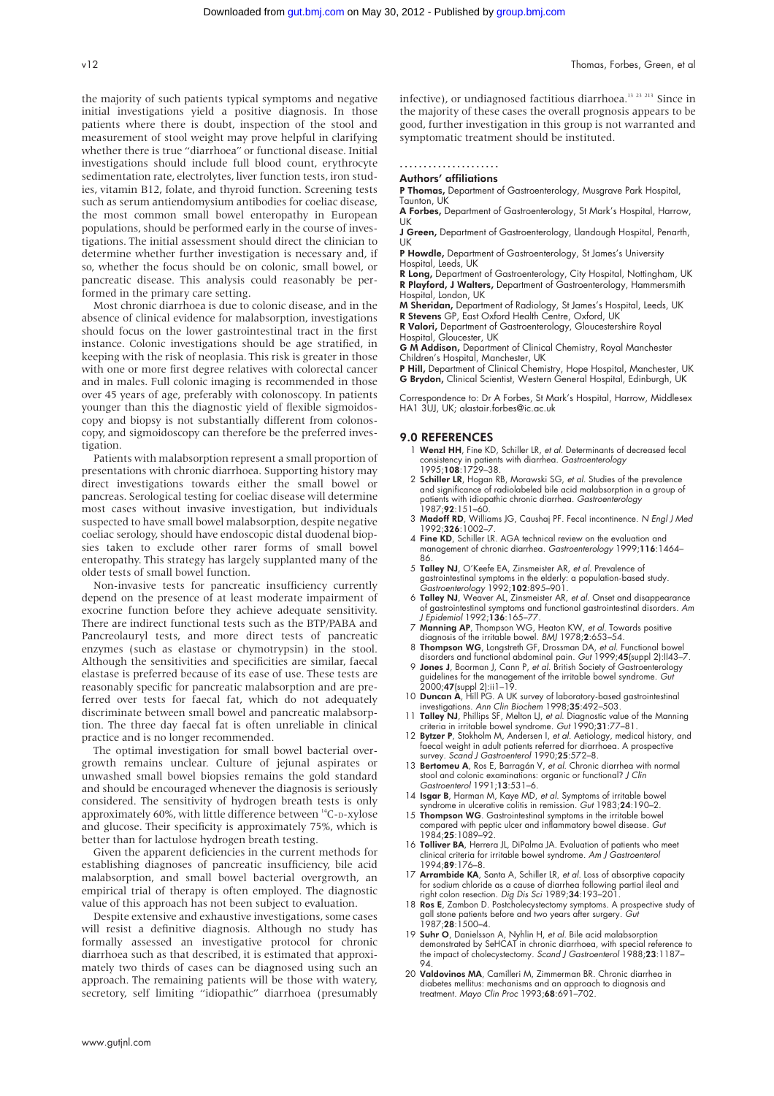the majority of such patients typical symptoms and negative initial investigations yield a positive diagnosis. In those patients where there is doubt, inspection of the stool and measurement of stool weight may prove helpful in clarifying whether there is true "diarrhoea" or functional disease. Initial investigations should include full blood count, erythrocyte sedimentation rate, electrolytes, liver function tests, iron studies, vitamin B12, folate, and thyroid function. Screening tests such as serum antiendomysium antibodies for coeliac disease, the most common small bowel enteropathy in European populations, should be performed early in the course of investigations. The initial assessment should direct the clinician to determine whether further investigation is necessary and, if so, whether the focus should be on colonic, small bowel, or pancreatic disease. This analysis could reasonably be performed in the primary care setting.

Most chronic diarrhoea is due to colonic disease, and in the absence of clinical evidence for malabsorption, investigations should focus on the lower gastrointestinal tract in the first instance. Colonic investigations should be age stratified, in keeping with the risk of neoplasia. This risk is greater in those with one or more first degree relatives with colorectal cancer and in males. Full colonic imaging is recommended in those over 45 years of age, preferably with colonoscopy. In patients younger than this the diagnostic yield of flexible sigmoidoscopy and biopsy is not substantially different from colonoscopy, and sigmoidoscopy can therefore be the preferred investigation.

Patients with malabsorption represent a small proportion of presentations with chronic diarrhoea. Supporting history may direct investigations towards either the small bowel or pancreas. Serological testing for coeliac disease will determine most cases without invasive investigation, but individuals suspected to have small bowel malabsorption, despite negative coeliac serology, should have endoscopic distal duodenal biopsies taken to exclude other rarer forms of small bowel enteropathy. This strategy has largely supplanted many of the older tests of small bowel function.

Non-invasive tests for pancreatic insufficiency currently depend on the presence of at least moderate impairment of exocrine function before they achieve adequate sensitivity. There are indirect functional tests such as the BTP/PABA and Pancreolauryl tests, and more direct tests of pancreatic enzymes (such as elastase or chymotrypsin) in the stool. Although the sensitivities and specificities are similar, faecal elastase is preferred because of its ease of use. These tests are reasonably specific for pancreatic malabsorption and are preferred over tests for faecal fat, which do not adequately discriminate between small bowel and pancreatic malabsorption. The three day faecal fat is often unreliable in clinical practice and is no longer recommended.

The optimal investigation for small bowel bacterial overgrowth remains unclear. Culture of jejunal aspirates or unwashed small bowel biopsies remains the gold standard and should be encouraged whenever the diagnosis is seriously considered. The sensitivity of hydrogen breath tests is only approximately 60%, with little difference between <sup>14</sup>C-D-xylose and glucose. Their specificity is approximately 75%, which is better than for lactulose hydrogen breath testing.

Given the apparent deficiencies in the current methods for establishing diagnoses of pancreatic insufficiency, bile acid malabsorption, and small bowel bacterial overgrowth, an empirical trial of therapy is often employed. The diagnostic value of this approach has not been subject to evaluation.

Despite extensive and exhaustive investigations, some cases will resist a definitive diagnosis. Although no study has formally assessed an investigative protocol for chronic diarrhoea such as that described, it is estimated that approximately two thirds of cases can be diagnosed using such an approach. The remaining patients will be those with watery, secretory, self limiting "idiopathic" diarrhoea (presumably

infective), or undiagnosed factitious diarrhoea.13 23 213 Since in the majority of these cases the overall prognosis appears to be good, further investigation in this group is not warranted and symptomatic treatment should be instituted.

# .....................

# Authors' affiliations

P Thomas, Department of Gastroenterology, Musgrave Park Hospital, Taunton, UK

A Forbes, Department of Gastroenterology, St Mark's Hospital, Harrow, UK

J Green, Department of Gastroenterology, Llandough Hospital, Penarth, UK

P Howdle, Department of Gastroenterology, St James's University Hospital, Leeds, UK

R Long, Department of Gastroenterology, City Hospital, Nottingham, UK R Playford, J Walters, Department of Gastroenterology, Hammersmith Hospital, London, UK

M Sheridan, Department of Radiology, St James's Hospital, Leeds, UK R Stevens GP, East Oxford Health Centre, Oxford, UK

R Valori, Department of Gastroenterology, Gloucestershire Royal Hospital, Gloucester, UK

G M Addison, Department of Clinical Chemistry, Royal Manchester Children's Hospital, Manchester, UK

P Hill, Department of Clinical Chemistry, Hope Hospital, Manchester, UK G Brydon, Clinical Scientist, Western General Hospital, Edinburgh, UK

Correspondence to: Dr A Forbes, St Mark's Hospital, Harrow, Middlesex HA1 3UJ, UK; alastair.forbes@ic.ac.uk

#### 9.0 REFERENCES

- 1 Wenzl HH, Fine KD, Schiller LR, *et al.* Determinants of decreased fecal consistency in patients with diarrhea*. Gastroenterology* 1995;108:1729–38.
- 2 Schiller LR, Hogan RB, Morawski SG, *et al.* Studies of the prevalence and significance of radiolabeled bile acid malabsorption in a group of patients with idiopathic chronic diarrhea*. Gastroenterology* 1987;92:151–60.
- 3 Madoff RD, Williams JG, Caushaj PF. Fecal incontinence*. N Engl J Med* 1992;326:1002–7.
- 4 Fine KD, Schiller LR. AGA technical review on the evaluation and management of chronic diarrhea*. Gastroenterology* 1999;116:1464– 86.
- 5 Talley NJ, O'Keefe EA, Zinsmeister AR, *et al.* Prevalence of gastrointestinal symptoms in the elderly: a population-based study*. Gastroenterology* 1992;102:895–901.
- 6 Talley NJ, Weaver AL, Zinsmeister AR, *et al.* Onset and disappearance of gastrointestinal symptoms and functional gastrointestinal disorders*. Am J Epidemiol* 1992;136:165–77.
- 7 Manning AP, Thompson WG, Heaton KW, *et al.* Towards positive diagnosis of the irritable bowel*. BMJ* 1978;2:653–54.
- 8 Thompson WG, Longstreth GF, Drossman DA, *et al.* Functional bowel disorders and functional abdominal pain*. Gut* 1999;45(suppl 2):II43–7. 9 Jones J, Boorman J, Cann P, *et al.* British Society of Gastroenterology
- guidelines for the management of the irritable bowel syndrome*. Gut* 2000;47(suppl 2):ii1–19.
- 10 Duncan A, Hill PG. A UK survey of laboratory-based gastrointestinal investigations*. Ann Clin Biochem* 1998;35:492–503.
- 11 Talley NJ, Phillips SF, Melton LJ, *et al.* Diagnostic value of the Manning criteria in irritable bowel syndrome*. Gut* 1990;31:77–81. 12 Bytzer P, Stokholm M, Andersen I, *et al.* Aetiology, medical history, and
- faecal weight in adult patients referred for diarrhoea. A prospective survey*. Scand J Gastroenterol* 1990;25:572–8.
- 13 Bertomeu A, Ros E, Barragán V, *et al.* Chronic diarrhea with normal stool and colonic examinations: organic or functional? *J Clin Gastroenterol* 1991;13:531–6.
- 14 Isgar B, Harman M, Kaye MD, *et al.* Symptoms of irritable bowel syndrome in ulcerative colitis in remission*. Gut* 1983;24:190–2.
- 15 Thompson WG. Gastrointestinal symptoms in the irritable bowel compared with peptic ulcer and inflammatory bowel disease*. Gut* 1984;25:1089–92.
- 16 Tolliver BA, Herrera JL, DiPalma JA. Evaluation of patients who meet clinical criteria for irritable bowel syndrome*. Am J Gastroenterol* 1994;89:176–8.
- 17 Arrambide KA, Santa A, Schiller LR, *et al.* Loss of absorptive capacity for sodium chloride as a cause of diarrhea following partial ileal and right colon resection*. Dig Dis Sci* 1989;34:193–201.
- 18 Ros E, Zambon D. Postcholecystectomy symptoms. A prospective study of gall stone patients before and two years after surgery*. Gut* 1987;28:1500–4.
- 19 Suhr O, Danielsson A, Nyhlin H, *et al.* Bile acid malabsorption demonstrated by SeHCAT in chronic diarrhoea, with special reference to the impact of cholecystectomy*. Scand J Gastroenterol* 1988;23:1187–  $0<sub>A</sub>$
- 20 Valdovinos MA, Camilleri M, Zimmerman BR. Chronic diarrhea in diabetes mellitus: mechanisms and an approach to diagnosis and treatment*. Mayo Clin Proc* 1993;68:691–702.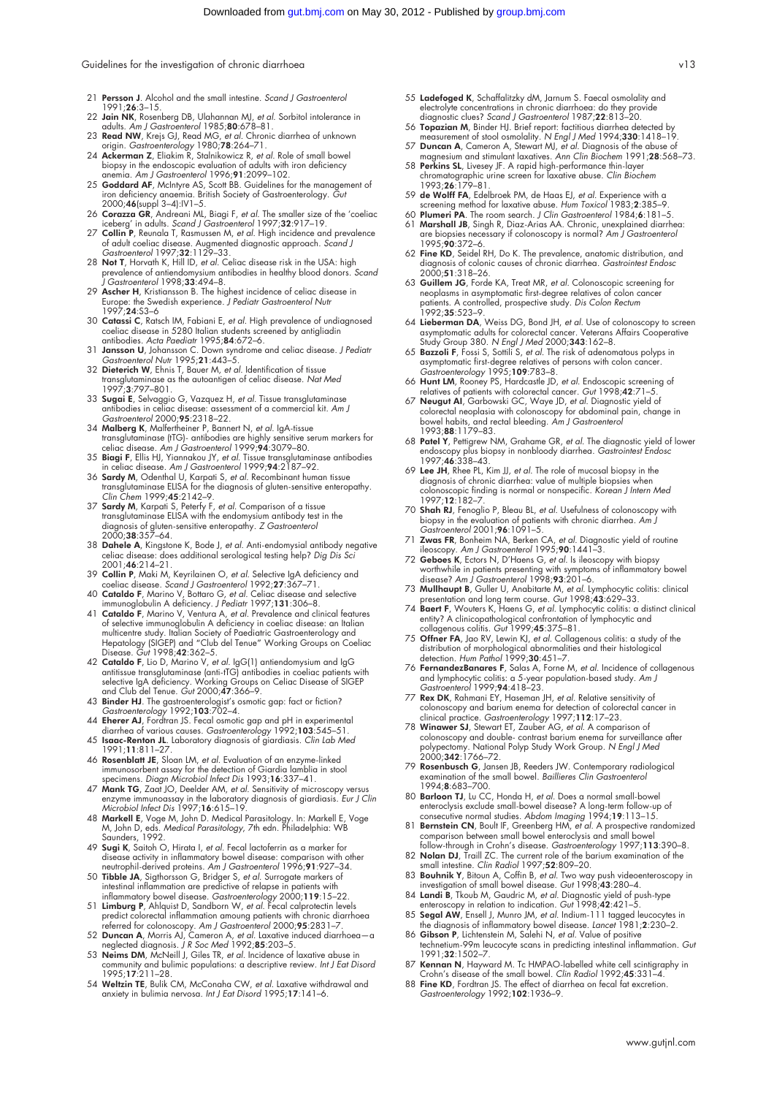### Guidelines for the investigation of chronic diarrhoea v13

- 21 Persson J. Alcohol and the small intestine*. Scand J Gastroenterol* 1991;26:3–15.
- 22 Jain NK, Rosenberg DB, Ulahannan MJ, *et al.* Sorbitol intolerance in adults*. Am J Gastroenterol* 1985;80:678–81. 23 Read NW, Krejs GJ, Read MG, *et al.* Chronic diarrhea of unknown
- 
- origin*. Gastroenterology* 1980;**78**:264–71.<br>24 **Ackerman Z**, Eliakim R, Stalnikowicz R, *et al.* Role of small bowel<br>biopsy in the endoscopic evaluation of adults with iron deficiency
- anemia*. Am J Gastroenterol* 1996;91:2099–102. 25 Goddard AF, McIntyre AS, Scott BB. Guidelines for the management of iron deficiency anaemia. British Society of Gastroenterology*. Gut*
- 2000;46(suppl 3–4):IV1–5. 26 Corazza GR, Andreani ML, Biagi F, *et al.* The smaller size of the 'coeliac iceberg' in adults*. Scand J Gastroenterol* 1997;32:917–19.
- 27 Collin P, Reunala T, Rasmussen M, *et al.* High incidence and prevalence of adult coeliac disease. Augmented diagnostic approach*. Scand J Gastroenterol* 1997;32:1129–33.
- 28 Not T, Horvath K, Hill ID, *et al.* Celiac disease risk in the USA: high prevalence of antiendomysium antibodies in healthy blood donors*. Scand J Gastroenterol* 1998;33:494–8.
- 29 Ascher H, Kristiansson B. The highest incidence of celiac disease in Europe: the Swedish experience*. J Pediatr Gastroenterol Nutr* 1997;24:S3–6
- 30 Catassi C, Ratsch IM, Fabiani E, *et al.* High prevalence of undiagnosed coeliac disease in 5280 Italian students screened by antigliadin antibodies*. Acta Paediatr* 1995;84:672–6. 31 Jansson U, Johansson C. Down syndrome and celiac disease*. J Pediatr*
- *Gastroenterol Nutr* 1995;21:443–5. 32 Dieterich W, Ehnis T, Bauer M, *et al.* Identification of tissue
- transglutaminase as the autoantigen of celiac disease*. Nat Med* 1997;3:797–801.
- 33 Sugai E, Selvaggio G, Vazquez H, *et al.* Tissue transglutaminase antibodies in celiac disease: assessment of a commercial kit*. Am J Gastroenterol* 2000;95:2318–22. 34 Malberg K, Malfertheiner P, Bannert N, *et al.* IgA-tissue
- transglutaminase (tTG)- antibodies are highly sensitive serum markers for
- celiac disease*. Am J Gastroenterol* 1999;94:3079–80. 35 Biagi F, Ellis HJ, Yiannakou JY, *et al*. Tissue transglutaminase antibodies in celiac disease*. Am J Gastroenterol* 1999;94:2187–92.
- 36 Sardy M, Odenthal U, Karpati S, *et al.* Recombinant human tissue transglutaminase ELISA for the diagnosis of gluten-sensitive enteropathy*. Clin Chem* 1999;45:2142–9.
- 37 Sardy M, Karpati S, Peterfy F, *et al*. Comparison of a tissue transglutaminase ELISA with the endomysium antibody test in the diagnosis of gluten-sensitive enteropathy*. Z Gastroenterol* 2000;38:357–64.
- 38 Dahele A, Kingstone K, Bode J, *et al.* Anti-endomysial antibody negative celiac disease: does additional serological testing help? *Dig Dis Sci* 2001;46:214–21.
- 39 Collin P, Maki M, Keyrilainen O, *et al.* Selective IgA deficiency and coeliac disease*. Scand J Gastroenterol* 1992;27:367–71.
- 
- 40 **Cataldo F**, Marino V, Bottaro G, *et al.* Celiac disease and selective<br>immunoglobulin A deficiency. J Pediart 1997;131:306–8.<br>**Cataldo F**, Marino V, Ventura A, *et al.* Prevalence and clinical features<br>of selective im
- selective IgA deficiency. Working Groups on Celiac Disease of SIGEP and Club del Tenue*. Gut* 2000;47:366–9.
- 43 Binder HJ. The gastroenterologist's osmotic gap: fact or fiction?
- *Gastroenterology* 1992;103:702–4. 44 Eherer AJ, Fordtran JS. Fecal osmotic gap and pH in experimental diarrhea of various causes*. Gastroenterology* 1992;103:545–51.
- 45 Isaac-Renton JL. Laboratory diagnosis of giardiasis*. Clin Lab Med* 1991;11:811–27.
- 46 Rosenblatt JE, Sloan LM, *et al.* Evaluation of an enzyme-linked immunosorbent assay for the detection of Giardia lamblia in stool specimens*. Diagn Microbiol Infect Dis* 1993;16:337–41.
- 47 Mank TG, Zaat JO, Deelder AM, *et al.* Sensitivity of microscopy versus enzyme immunoassay in the laboratory diagnosis of giardiasis*. Eur J Clin Microbiol Infect Dis* 1997;16:615–19.
- 48 Markell E, Voge M, John D. Medical Parasitology. In: Markell E, Voge M, John D, eds. *Medical Parasitology*, 7th edn. Philadelphia: WB Saunders, 1992.
- 49 Sugi K, Saitoh O, Hirata I, *et al.* Fecal lactoferrin as a marker for
- disease activity in inflammatory bowel disease: comparison with other<br>neutrophil-derived proteins. Am J Gastroenterol 1996;91:927–34.<br>50 **Tibble JA**, Sigthorsson G, Bridger S, et al. Surrogate markers of<br>intestinal inflamm
- predict colorectal inflammation amoung patients with chronic diarrhoea
- referred for colonoscopy*. Am J Gastroenterol* 2000;95:2831–7. 52 Duncan A, Morris AJ, Cameron A, *et al.* Laxative induced diarrhoea—a neglected diagnosis*. J R Soc Med* 1992;85:203–5.
- 53 Neims DM, McNeill J, Giles TR, *et al.* Incidence of laxative abuse in community and bulimic populations: a descriptive review*. Int J Eat Disord* 1995;17:211–28.
- 54 Weltzin TE, Bulik CM, McConaha CW, *et al.* Laxative withdrawal and anxiety in bulimia nervosa*. Int J Eat Disord* 1995;17:141–6.
- 55 Ladefoged K, Schaffalitzky dM, Jarnum S*.* Faecal osmolality and electrolyte concentrations in chronic diarrhoea: do they provide diagnostic clues? *Scand J Gastroenterol* 1987;22:813–20.
- 56 Topazian M, Binder HJ. Brief report: factitious diarrhea detected by measurement of stool osmolality*. N Engl J Med* 1994;330:1418–19. 57 Duncan A, Cameron A, Stewart MJ, *et al.* Diagnosis of the abuse of
- 
- magnesium and stimulant laxatives. Ann Clin Biochem 1991;**28**:568–73.<br>58 **Perkins SL**, Livesey JF. A rapid high-performance thin-layer<br>chromatographic urine screen for laxative abuse. Clin Biochem<br>1993;**26**:179–81.
- 59 de Wolff FA, Edelbroek PM, de Haas EJ, *et al.* Experience with a screening method for laxative abuse*. Hum Toxicol* 1983;2:385–9.
- 60 **Plumeri PA**. The room search*. J Clin Gastroenterol* 1984;**6**:181–5.<br>61 **Marshall JB**, Singh R, Diaz-Arias AA. Chronic, unexplained diarrhea:<br>are biopsies necessary if colonoscopy is normal? *Am J Gastroenterol*
- 1995;90:372–6. 62 Fine KD, Seidel RH, Do K. The prevalence, anatomic distribution, and diagnosis of colonic causes of chronic diarrhea*. Gastrointest Endosc* 2000;51:318–26.
- 63 Guillem JG, Forde KA, Treat MR, *et al.* Colonoscopic screening for neoplasms in asymptomatic first-degree relatives of colon cancer patients. A controlled, prospective study*. Dis Colon Rectum* 1992;35:523–9.
- 64 Lieberman DA, Weiss DG, Bond JH, *et al.* Use of colonoscopy to screen asymptomatic adults for colorectal cancer. Veterans Affairs Cooperative
- Study Group 380. N Engl J Med 2000;**343**:162–8.<br>65 **Bazzoli F**, Fossi S, Sottili S, et al. The risk of adenomatous polyps in<br>asymptomatic first-degree relatives of persons with colon cancer.<br>Gastroenterology 1995;1**09**:783
- 
- 66 Hunt LM, Rooney PS, Hardcastle JD, *et al.* Endoscopic screening of<br>relatives of patients with colorectal cancer. *Gut* 1998;42:71–5.<br>67 Neugut AI, Garbowski GC, Waye JD, et al. Diagnostic yield of<br>colorectal neoplasia 1993;88:1179–83.
- 68 Patel Y, Pettigrew NM, Grahame GR, *et al.* The diagnostic yield of lower endoscopy plus biopsy in nonbloody diarrhea*. Gastrointest Endosc* 1997;46:338–43.
- 69 Lee JH, Rhee PL, Kim JJ, *et al*. The role of mucosal biopsy in the diagnosis of chronic diarrhea: value of multiple biopsies when colonoscopic finding is normal or nonspecific*. Korean J Intern Med* 1997;12:182–7.
- 70 Shah RJ, Fenoglio P, Bleau BL, *et al.* Usefulness of colonoscopy with biopsy in the evaluation of patients with chronic diarrhea*. Am J Gastroenterol* 2001;96:1091–5.
- 
- 71 **Zwas FR**, Bonheim NA, Berken CA, *et al.* Diagnostic yield of routine ileoscopy. Am J Gastroenterol 1995;90:1441-3.<br>72 **Geboes K**, Ectors N, D'Haens G, *et al.* Is ileoscopy with biopsy worthwhile in patients presentin
- 
- presentation and long term course. *Gut* 1998;43:629–33.<br>74 **Baert F**, Wouters K, Haens G, *et al.* Lymphocytic colitis: a distinct clinical<br>entity? A clinicopathological confrontation of lymphocytic and<br>collagenous coliti
- distribution of morphological abnormalities and their histological<br>detection*. Hum Pathol* 1999;**30**:451–7.<br>76 **FernandezBanares F**, Salas A, Forne M, *et al.* Incidence of collagenous
- and lymphocytic colitis: a 5-year population-based study*. Am J Gastroenterol* 1999;94:418–23.
- Rex DK, Rahmani EY, Haseman JH, *et al.* Relative sensitivity of colonoscopy and barium enema for detection of colorectal cancer in<br>clinical practice. Gastroenterology 1997;**112**:17–23.<br>**78 Winawer SJ**, Stewart ET, Zauber AG, *et al.* A comparison of<br>colonoscopy and double- contrast bar
- polypectomy. National Polyp Study Work Group*. N Engl J Med* 2000;342:1766–72.
- 79 Rosenbusch G, Jansen JB, Reeders JW. Contemporary radiological examination of the small bowel*. Baillieres Clin Gastroenterol* 1994;8:683–700.
- 80 Barloon TJ, Lu CC, Honda H, *et al.* Does a normal small-bowel
- enteroclysis exclude small-bowel disease? A long-term follow-up of<br>consecutive normal studies. Abdom Imaging 1994;19:113–15.<br>81 Bernstein CN, Boult IF, Greenberg HM, et al. A prospective randomized<br>comparison between small
- follow-through in Crohn's disease*. Gastroenterology* 1997;113:390–8. 82 Nolan DJ, Traill ZC. The current role of the barium examination of the small intestine*. Clin Radiol* 1997;52:809–20.
- 83 Bouhnik Y, Bitoun A, Coffin B, *et al.* Two way push videoenteroscopy in investigation of small bowel disease*. Gut* 1998;43:280–4.
- 84 Landi B, Tkoub M, Gaudric M, *et al*. Diagnostic yield of push-type enteroscopy in relation to indication*. Gut* 1998;42:421–5.
- 85 Segal AW, Ensell J, Munro JM, *et al.* Indium-111 tagged leucocytes in the diagnosis of inflammatory bowel disease*. Lancet* 1981;2:230–2. 86 Gibson P, Lichtenstein M, Salehi N, *et al.* Value of positive
- technetium-99m leucocyte scans in predicting intestinal inflammation*. Gut* 1991;32:1502–7.
- 87 Kennan N, Hayward M. Tc HMPAO-labelled white cell scintigraphy in Crohn's disease of the small bowel*. Clin Radiol* 1992;45:331–4. 88 Fine KD, Fordtran JS. The effect of diarrhea on fecal fat excretion*.*
- *Gastroenterology* 1992;102:1936–9.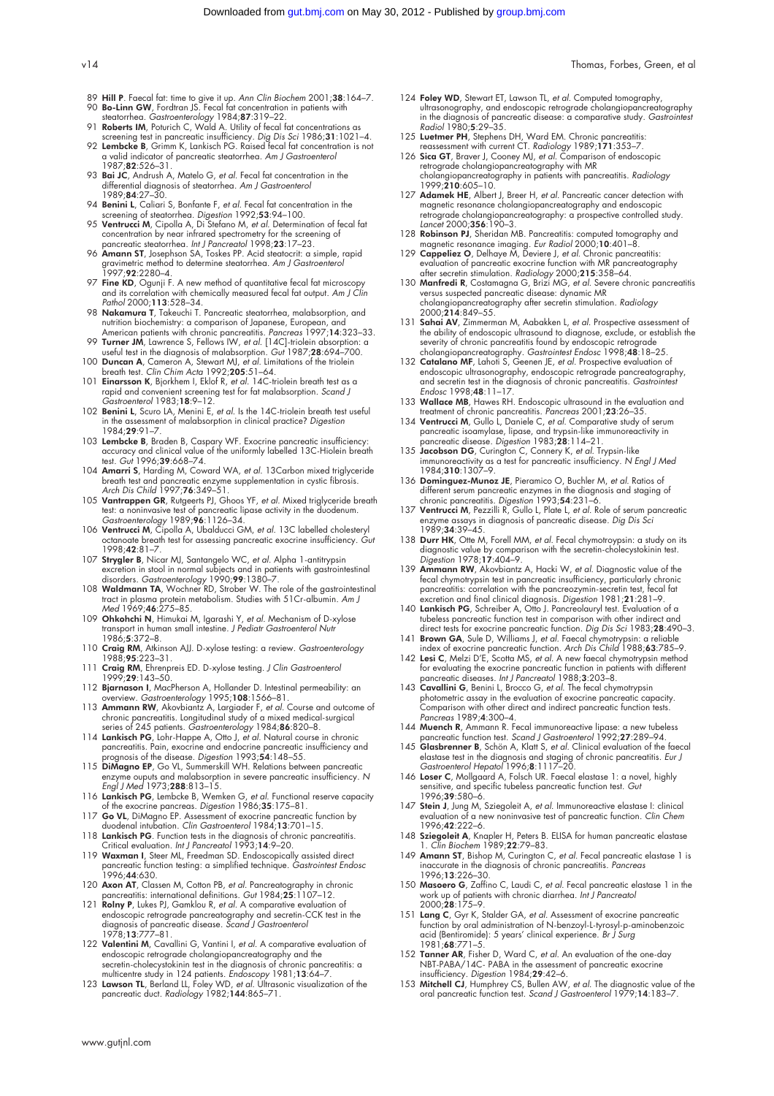### v14 Thomas, Forbes, Green, et al

- 
- 89 Hill P. Faecal fat: time to give it up*. Ann Clin Biochem* 2001;38:164–7. 90 Bo-Linn GW, Fordtran JS. Fecal fat concentration in patients with
- steatorrhea. *Gastroenterology* 1984;**87**:319–22.<br>91 **Roberts IM**, Poturich C, Wald A. Utility of fecal fat concentrations as<br>screening test in pancreatic insufficiency. Dig Dis Sci 1986;**31**:1021–4.<br>92 **Lembcke B**, Grimm
- a valid indicator of pancreatic steatorrhea*. Am J Gastroenterol* 1987;82:526–31.
- 93 Bai JC, Andrush A, Matelo G, *et al*. Fecal fat concentration in the differential diagnosis of steatorrhea*. Am J Gastroenterol* 1989;84:27–30.
- 94 Benini L, Caliari S, Bonfante F, *et al*. Fecal fat concentration in the
- screening of steatorrhea*. Digestion* 1992;53:94–100. 95 Ventrucci M, Cipolla A, Di Stefano M, *et al*. Determination of fecal fat concentration by near infrared spectrometry for the screening of pancreatic steatorrhea*. Int J Pancreatol* 1998;23:17–23. 96 Amann ST, Josephson SA, Toskes PP. Acid steatocrit: a simple, rapid
- gravimetric method to determine steatorrhea*. Am J Gastroenterol* 1997;92:2280–4.
- 97 Fine KD, Ogunji F. A new method of quantitative fecal fat microscopy and its correlation with chemically measured fecal fat output*. Am J Clin Pathol* 2000;113:528–34.
- 98 Nakamura T, Takeuchi T. Pancreatic steatorrhea, malabsorption, and nutrition biochemistry: a comparison of Japanese, European, and American patients with chronic pancreatitis*. Pancreas* 1997;14:323–33.
- 99 Turner JM, Lawrence S, Fellows IW, *et al.* [14C]-triolein absorption: a<br>useful test in the diagnosis of malabsorption. *Gut* 1987;**28**:694–700.<br>100 Duncan A, Cameron A, Stewart MJ, *et al.* Limitations of the triolein
- breath test*. Clin Chim Acta* 1992;205:51–64. 101 Einarsson K, Bjorkhem I, Eklof R, *et al.* 14C-triolein breath test as a
- rapid and convenient screening test for fat malabsorption*. Scand J Gastroenterol* 1983;18:9–12. 102 Benini L, Scuro LA, Menini E, *et al.* Is the 14C-triolein breath test useful
- in the assessment of malabsorption in clinical practice? *Digestion* 1984;29:91–7.
- 103 Lembcke B, Braden B, Caspary WF. Exocrine pancreatic insufficiency: accuracy and clinical value of the uniformly labelled 13C-Hiolein breath test*. Gut* 1996;39:668–74.
- 104 Amarri S, Harding M, Coward WA, *et al.* 13Carbon mixed triglyceride breath test and pancreatic enzyme supplementation in cystic fibrosis*. Arch Dis Child* 1997;76:349–51.
- 105 Vantrappen GR, Rutgeerts PJ, Ghoos YF, *et al.* Mixed triglyceride breath test: a noninvasive test of pancreatic lipase activity in the duodenum*. Gastroenterology* 1989;96:1126–34. 106 Ventrucci M, Cipolla A, Ubalducci GM, *et al.* 13C labelled cholesteryl
- octanoate breath test for assessing pancreatic exocrine insufficiency*. Gut* 1998;42:81–7.
- 107 Strygler B, Nicar MJ, Santangelo WC, *et al.* Alpha 1-antitrypsin excretion in stool in normal subjects and in patients with gastrointestinal
- disorders*. Gastroenterology* 1990;99:1380–7. 108 Waldmann TA, Wochner RD, Strober W. The role of the gastrointestinal tract in plasma protein metabolism. Studies with 51Cr-albumin*. Am J Med* 1969;46:275–85.
- 109 Ohkohchi N, Himukai M, Igarashi Y, *et al.* Mechanism of D-xylose transport in human small intestine*. J Pediatr Gastroenterol Nutr* 1986;5:372–8.
- 110 Craig RM, Atkinson AJJ. D-xylose testing: a review*. Gastroenterology* 1988;95:223–31.
- 111 Craig RM, Ehrenpreis ED. D-xylose testing*. J Clin Gastroenterol* 1999;29:143–50.
- 
- 112 **Bjarnason I**, MacPherson A, Hollander D. Intestinal permeability: an<br>overview. *Gastroenterology* 1995;**108**:1566–81.<br>113 **Ammann RW**, Akovbiantz A, Largiader F, et *al*. Course and outcome of<br>chronic pancreatitis. Lo
- pancreatitis. Pain, exocrine and endocrine pancreatic insufficiency and prognosis of the disease*. Digestion* 1993;54:148–55. 115 DiMagno EP, Go VL, Summerskill WH. Relations between pancreatic
- enzyme ouputs and malabsorption in severe pancreatic insufficiency*. N Engl J Med* 1973;288:813–15.
- 116 Lankisch PG, Lembcke B, Wemken G, *et al.* Functional reserve capacity of the exocrine pancreas*. Digestion* 1986;35:175–81.
- 117 Go VL, DiMagno EP. Assessment of exocrine pancreatic function by duodenal intubation*. Clin Gastroenterol* 1984;13:701–15.
- 118 Lankisch PG. Function tests in the diagnosis of chronic pancreatitis.<br>Critical evaluation. *Int J Pancreatol* 1993;14:9–20.<br>119 Waxman I, Steer ML, Freedman SD. Endoscopically assisted direct<br>pancreatic function testin
- 1996;44:630.
- 120 Axon AT, Classen M, Cotton PB, *et al.* Pancreatography in chronic pancreatitis: international definitions*. Gut* 1984;25:1107–12.
- 121 Rolny P, Lukes PJ, Gamklou R, *et al.* A comparative evaluation of endoscopic retrograde pancreatography and secretin-CCK test in the diagnosis of pancreatic disease*. Scand J Gastroenterol* 1978;13:777–81.
- 122 Valentini M, Cavallini G, Vantini I, *et al*. A comparative evaluation of endoscopic retrograde cholangiopancreatography and the secretin-cholecystokinin test in the diagnosis of chronic pancreatitis: a
- multicentre study in 124 patients*. Endoscopy* 1981;13:64–7. 123 Lawson TL, Berland LL, Foley WD, *et al.* Ultrasonic visualization of the pancreatic duct*. Radiology* 1982;144:865–71.
- 124 Foley WD, Stewart ET, Lawson TL, *et al*. Computed tomography,
- 
- ultrasonography, and endoscopic retrograde cholangiopancreatography<br>
in the diagnosis of pancreatic disease: a comparative study. *Gastrointest*<br>
Radiol 1980;5:29–35.<br>
125 **Luetmer PH**, Stephens DH, Ward EM. Chronic pancre
- 1999;210:605-10. 127 Adamek HE, Albert J, Breer H, *et al.* Pancreatic cancer detection with magnetic resonance cholangiopancreatography and endoscopic retrograde cholangiopancreatography: a prospective controlled study*. Lancet* 2000;356:190–3.
- 128 Robinson PJ, Sheridan MB. Pancreatitis: computed tomography and
- magnetic resonance imaging*. Eur Radiol* 2000;10:401–8. 129 Cappeliez O, Delhaye M, Deviere J, *et al*. Chronic pancreatitis: evaluation of pancreatic exocrine function with MR pancreatography after secretin stimulation*. Radiology* 2000;215:358–64.
- 130 Manfredi R, Costamagna G, Brizi MG, *et al*. Severe chronic pancreatitis versus suspected pancreatic disease: dynamic MR cholangiopancreatography after secretin stimulation*. Radiology* 2000;214:849–55.
- 131 Sahai AV, Zimmerman M, Aabakken L, *et al*. Prospective assessment of the ability of endoscopic ultrasound to diagnose, exclude, or establish the severity of chronic pancreatitis found by endoscopic retrograde cholangiopancreatography*. Gastrointest Endosc* 1998;48:18–25. 132 Catalano MF, Lahoti S, Geenen JE, *et al.* Prospective evaluation of
- endoscopic ultrasonography, endoscopic retrograde pancreatography, and secretin test in the diagnosis of chronic pancreatitis*. Gastrointest Endosc* 1998;48:11–17.
- 133 Wallace MB, Hawes RH. Endoscopic ultrasound in the evaluation and
- treatment of chronic pancreatitis*. Pancreas* 2001;23:26–35. 134 Ventrucci M, Gullo L, Daniele C, *et al*. Comparative study of serum pancreatic isoamylase, lipase, and trypsin-like immunoreactivity in
- pancreatic disease*. Digestion* 1983;28:114–21. 135 Jacobson DG, Curington C, Connery K, *et al.* Trypsin-like immunoreactivity as a test for pancreatic insufficiency*. N Engl J Med* 1984;310:1307–9.
- 136 Dominguez-Munoz JE, Pieramico O, Buchler M, *et al.* Ratios of different serum pancreatic enzymes in the diagnosis and staging of chronic pancreatitis*. Digestion* 1993;54:231–6.
- 137 Ventrucci M, Pezzilli R, Gullo L, Plate L, *et al.* Role of serum pancreatic enzyme assays in diagnosis of pancreatic disease*. Dig Dis Sci* 1989;34:39–45.
- 138 Durr HK, Otte M, Forell MM, *et al.* Fecal chymotroypsin: a study on its diagnostic value by comparison with the secretin-cholecystokinin test*. Digestion* 1978;17:404–9.
- 139 Ammann RW, Akovbiantz A, Hacki W, *et al.* Diagnostic value of the fecal chymotrypsin test in pancreatic insufficiency, particularly chronic pancreatitis: correlation with the pancreozymin-secretin test, fecal fat excretion and final clinical diagnosis*. Digestion* 1981;21:281–9.
- 140 **Lankisch PG**, Schreiber A, Otto J. Pancreolauryl test. Evaluation of a<br>tubeless pancreatic function test in comparison with other indirect and<br>direct tests for exocrine pancreatic function. *Dig Dis Sci* 1983;**28**:490
- 
- 141 **Brown GA**, Sule D, Williams J, *et al.* Faecal chymotrypsin: a reliable of exocrine pancreatic function. *Arch Dis Child* 1988;**6**3785–9.<br>142 **Lesi C**, Melzi D'E, Scotta MS, *et al.* A new faecal chymotrypsin method f
- pancreatic diseases. Int J Pancreatol 1988;3:203–8.<br>143 **Cavallini G**, Benini L, Brocco G, et al. The fecal chymotrypsin<br>photometric assay in the evaluation of exocrine pancreatic capacity.<br>Comparison with other direct and *Pancreas* 1989;4:300–4.
- 144 Muench R, Ammann R. Fecal immunoreactive lipase: a new tubeless pancreatic function test*. Scand J Gastroenterol* 1992;27:289–94.
- 145 Glasbrenner B, Schön A, Klatt S, *et al.* Clinical evaluation of the faecal elastase test in the diagnosis and staging of chronic pancreatitis*. Eur J Gastroenterol Hepatol* 1996;8:1117–20.
- 146 Loser C, Mollgaard A, Folsch UR. Faecal elastase 1: a novel, highly sensitive, and specific tubeless pancreatic function test*. Gut* 1996;39:580–6.
- 147 Stein J, Jung M, Sziegoleit A, *et al.* Immunoreactive elastase I: clinical evaluation of a new noninvasive test of pancreatic function*. Clin Chem* 1996;42:222–6.
- 148 Sziegoleit A, Knapler H, Peters B. ELISA for human pancreatic elastase<br>1. *Clin Biochem* 1989;**22**:79–83.<br>149 **Amann ST**, Bishop M, Curington C, *et al.* Fecal pancreatic elastase 1 is<br>inaccurate in the diagnosis of ch
- 1996;13:226–30.
- 150 Masoero G, Zaffino C, Laudi C, *et al*. Fecal pancreatic elastase 1 in the work up of patients with chronic diarrhea*. Int J Pancreatol* 2000;28:175–9.
- 151 Lang C, Gyr K, Stalder GA, *et al.* Assessment of exocrine pancreatic function by oral administration of N-benzoyl-L-tyrosyl-p-aminobenzoic acid (Bentiromide): 5 years' clinical experience*. Br J Surg* 1981;68:771–5.
- 152 Tanner AR, Fisher D, Ward C, *et al.* An evaluation of the one-day NBT-PABA/14C- PABA in the assessment of pancreatic exocrine insufficiency*. Digestion* 1984;29:42–6.
- 153 Mitchell CJ, Humphrey CS, Bullen AW, *et al.* The diagnostic value of the oral pancreatic function test*. Scand J Gastroenterol* 1979;14:183–7.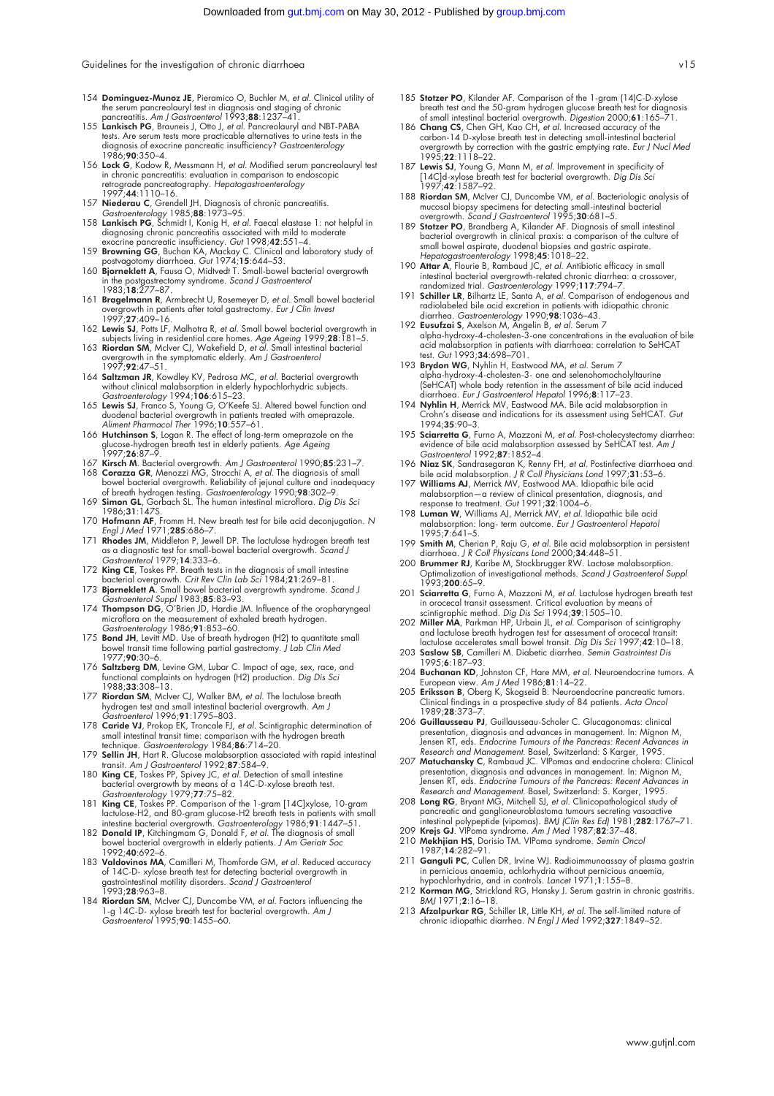### Guidelines for the investigation of chronic diarrhoea v15

- 154 Dominguez-Munoz JE, Pieramico O, Buchler M, *et al.* Clinical utility of the serum pancreolauryl test in diagnosis and staging of chronic pancreatitis*. Am J Gastroenterol* 1993;88:1237–41.
- 155 Lankisch PG, Brauneis J, Otto J, *et al.* Pancreolauryl and NBT-PABA tests*.* Are serum tests more practicable alternatives to urine tests in the diagnosis of exocrine pancreatic insufficiency? *Gastroenterology*  $1986.90.350 - 4$
- 156 Lock G, Kadow R, Messmann H, *et al.* Modified serum pancreolauryl test in chronic pancreatitis: evaluation in comparison to endoscopic retrograde pancreatography*. Hepatogastroenterology* 1997;44:1110–16.
- 157 Niederau C, Grendell JH. Diagnosis of chronic pancreatitis*. Gastroenterology* 1985;88:1973–95. 158 Lankisch PG, Schmidt I, Konig H, *et al*. Faecal elastase 1: not helpful in
- 
- diagnosing chronic pancreatitis associated with mild to moderate<br>exocrine pancreatic insufficiency. *Gut* 1998;42:551–4.<br>159 **Browning GG**, Buchan KA, Mackay C. Clinical and laboratory study of<br>postvagotomy diarrhoea. *Gut*
- in the postgastrectomy syndrome*. Scand J Gastroenterol* 1983;18:277–87.
- 161 Bragelmann R, Armbrecht U, Rosemeyer D, *et al.* Small bowel bacterial overgrowth in patients after total gastrectomy*. Eur J Clin Invest* 1997;27:409–16.
- 162 Lewis SJ, Potts LF, Malhotra R, *et al.* Small bowel bacterial overgrowth in
- subjects living in residential care homes*. Age Ageing* 1999;28:181–5. 163 Riordan SM, McIver CJ, Wakefield D, *et al.* Small intestinal bacterial overgrowth in the symptomatic elderly*. Am J Gastroenterol* 1997;92:47–51.
- 164 Saltzman JR, Kowdley KV, Pedrosa MC, *et al*. Bacterial overgrowth
- without clinical malabsorption in elderly hypochlorhydric subjects.<br>
Gastroenterology 1994;106:615–23.<br>
165 Lewis SJ, Franco S, Young G, O'Keefe SJ. Altered bowel function and<br>
duodenal bacterial overgrowth in patients tre
- glucose-hydrogen breath test in elderly patients*. Age Ageing* 1997;26:87–9.
- 167 Kirsch M. Bacterial overgrowth*. Am J Gastroenterol* 1990;85:231–7.
- 168 Corazza GR, Menozzi MG, Strocchi A, *et al*. The diagnosis of small bowel bacterial overgrowth. Reliability of jejunal culture and inadequacy
- of breath hydrogen testing*. Gastroenterology* 1990;98:302–9. 169 Simon GL, Gorbach SL. The human intestinal microflora*. Dig Dis Sci* 1986;31:147S.
- 170 Hofmann AF, Fromm H. New breath test for bile acid deconjugation*. N Engl J Med* 1971;285:686–7. 171 Rhodes JM, Middleton P, Jewell DP. The lactulose hydrogen breath test
- as a diagnostic test for small-bowel bacterial overgrowth*. Scand J Gastroenterol* 1979;14:333–6. 172 King CE, Toskes PP. Breath tests in the diagnosis of small intestine
- bacterial overgrowth*. Crit Rev Clin Lab Sci* 1984;21:269–81. 173 Bjorneklett A. Small bowel bacterial overgrowth syndrome*. Scand J*
- *Gastroenterol Suppl* 1983;85:83–93.
- 174 Thompson DG, O'Brien JD, Hardie JM. Influence of the oropharyngeal microflora on the measurement of exhaled breath hydrogen*.*
- *Gastroenterology* 1986;91:853–60. 175 Bond JH, Levitt MD. Use of breath hydrogen (H2) to quantitate small bowel transit time following partial gastrectomy*. J Lab Clin Med* 1977;90:30–6.
- 176 Saltzberg DM, Levine GM, Lubar C. Impact of age, sex, race, and functional complaints on hydrogen (H2) production*. Dig Dis Sci* 1988;33:308–13.
- 177 Riordan SM, McIver CJ, Walker BM, *et al.* The lactulose breath hydrogen test and small intestinal bacterial overgrowth*. Am J Gastroenterol* 1996;91:1795–803.
- 178 Caride VJ, Prokop EK, Troncale FJ, *et al.* Scintigraphic determination of small intestinal transit time: comparison with the hydrogen breath technique*. Gastroenterology* 1984;86:714–20.
- 
- 179 **Sellin JH**, Hart R. Glucose malabsorption associated with rapid intestinal<br>transit. Am J Gastroenterol 1992;**87**:584–9.<br>180 **King CE**, Toskes PP, Spivey JC, et al. Detection of small intestine<br>bacterial overgrowth by
- lactulose-H2, and 80-gram glucose-H2 breath tests in patients with small intestine bacterial overgrowth*. Gastroenterology* 1986;91:1447–51. 182 Donald IP, Kitchingmam G, Donald F, *et al.* The diagnosis of small
- bowel bacterial overgrowth in elderly patients*. J Am Geriatr Soc* 1992;40:692–6.
- 183 Valdovinos MA, Camilleri M, Thomforde GM, *et al.* Reduced accuracy of 14C-D- xylose breath test for detecting bacterial overgrowth in gastrointestinal motility disorders*. Scand J Gastroenterol* 1993;28:963–8.
- 184 Riordan SM, McIver CJ, Duncombe VM, *et al.* Factors influencing the 1-g 14C-D- xylose breath test for bacterial overgrowth*. Am J Gastroenterol* 1995;90:1455–60.
- 185 Stotzer PO, Kilander AF. Comparison of the 1-gram (14)C-D-xylose breath test and the 50-gram hydrogen glucose breath test for diagnosis
- of small intestinal bacterial overgrowth*. Digestion* 2000;61:165–71. 186 Chang CS, Chen GH, Kao CH, *et al*. Increased accuracy of the carbon-14 D-xylose breath test in detecting small-intestinal bacterial overgrowth by correction with the gastric emptying rate*. Eur J Nucl Med* 1995;22:1118–22.
- 187 Lewis SJ, Young G, Mann M, *et al.* Improvement in specificity of [14C]d-xylose breath test for bacterial overgrowth*. Dig Dis Sci* 1997;42:1587–92.
- 188 Riordan SM, McIver CJ, Duncombe VM, *et al.* Bacteriologic analysis of mucosal biopsy specimens for detecting small-intestinal bacterial overgrowth*. Scand J Gastroenterol* 1995;30:681–5.
- 189 Stotzer PO, Brandberg A, Kilander AF. Diagnosis of small intestinal bacterial overgrowth in clinical praxis: a comparison of the culture of small bowel aspirate, duodenal biopsies and gastric aspirate*. Hepatogastroenterology* 1998;45:1018–22. 190 Attar A, Flourie B, Rambaud JC, *et al.* Antibiotic efficacy in small
- intestinal bacterial overgrowth-related chronic diarrhea: a crossover, randomized trial*. Gastroenterology* 1999;117:794–7. 191 Schiller LR, Bilhartz LE, Santa A, *et al.* Comparison of endogenous and
- radiolabeled bile acid excretion in patients with idiopathic chronic<br>diarrhea. Gastroenterology 1990;**98**:1036–43.<br>192 **Eusufzai S**, Axelson M, Angelin B, et al. Serum 7<br>alpha-hydroxy-4-cholesten-3-one concentrations in th
- acid malabsorption in patients with diarrhoea: correlation to SeHCAT test*. Gut* 1993;34:698–701.
- 193 Brydon WG, Nyhlin H, Eastwood MA, *et al.* Serum 7 alpha-hydroxy-4-cholesten-3- one and selenohomocholyltaurine (SeHCAT) whole body retention in the assessment of bile acid induced diarrhoea*. Eur J Gastroenterol Hepatol* 1996;8:117–23.
- 194 Nyhlin H, Merrick MV, Eastwood MA. Bile acid malabsorption in Crohn's disease and indications for its assessment using SeHCAT*. Gut* 1994;35:90–3.
- 195 Sciarretta G, Furno A, Mazzoni M, *et al.* Post-cholecystectomy diarrhea: evidence of bile acid malabsorption assessed by SeHCAT test*. Am J Gastroenterol* 1992;87:1852–4.
- 196 Niaz SK, Sandrasegaran K, Renny FH, *et al.* Postinfective diarrhoea and
- bile acid malabsorption. *J R Coll Physicians Lond* 1997;**31**:53–6.<br>197 **Williams AJ**, Merrick MV, Eastwood MA. Idiopathic bile acid<br>malabsorption—a review of clinical presentation, diagnosis, and response to treatment*. Gut* 1991;32:1004–6.
- 198 Luman W, Williams AJ, Merrick MV, *et al.* Idiopathic bile acid malabsorption: long- term outcome*. Eur J Gastroenterol Hepatol* 1995;7:641–5.
- 199 Smith M, Cherian P, Raju G, *et al.* Bile acid malabsorption in persistent diarrhoea*. J R Coll Physicans Lond* 2000;34:448–51.
- 200 Brummer RJ, Karibe M, Stockbrugger RW. Lactose malabsorption. Optimalization of investigational methods*. Scand J Gastroenterol Suppl* 1993;200:65–9.
- 201 Sciarretta G, Furno A, Mazzoni M, *et al.* Lactulose hydrogen breath test in orocecal transit assessment. Critical evaluation by means of scintigraphic method*. Dig Dis Sci* 1994;39:1505–10.
- 202 Miller MA, Parkman HP, Urbain JL, *et al*. Comparison of scintigraphy<br>and lactulose breath hydrogen test for assessment of orocecal transit:<br>lactulose accelerates small bowel transit*. Dig Dis Sci* 1997;**42**:10–18.
- 203 Saslow SB, Camilleri M. Diabetic diarrhea*. Semin Gastrointest Dis* 1995;6:187–93.
- 204 Buchanan KD, Johnston CF, Hare MM, *et al*. Neuroendocrine tumors. A European view*. Am J Med* 1986;81:14–22.
- 205 Eriksson B, Oberg K, Skogseid B. Neuroendocrine pancreatic tumors. Clinical findings in a prospective study of 84 patients*. Acta Oncol* 1989;28:373–7.
- 206 Guillausseau PJ, Guillausseau-Scholer C. Glucagonomas: clinical presentation, diagnosis and advances in management. In: Mignon M, Jensen RT, eds. *Endocrine Tumours of the Pancreas: Recent Advances in Research and Management*. Basel, Switzerland: S Karger, 1995.
- 207 Matuchansky C, Rambaud JC. VIPomas and endocrine cholera: Clinical presentation, diagnosis and advances in management. In: Mignon M, Jensen RT, eds. *Endocrine Tumours of the Pancreas: Recent Advances in*
- *Research and Management.* Basel, Switzerland: S. Karger, 1995. 208 Long RG, Bryant MG, Mitchell SJ, *et al.* Clinicopathological study of pancreatic and ganglioneuroblastoma tumours secreting vasoactive
- intestinal polypeptide (vipomas)*. BMJ (Clin Res Ed)* 1981;282:1767–71. 209 Krejs GJ. VIPoma syndrome*. Am J Med* 1987;82:37–48. 210 Mekhjian HS, Dorisio TM. VIPoma syndrome*. Semin Oncol* 1987;14:282–91.
- 211 Ganguli PC, Cullen DR, Irvine WJ. Radioimmunoassay of plasma gastrin
- in pernicious anaemia, achlorhydria without pernicious anaemia, hypochlorhydria, and in controls*. Lancet* 1971;1:155–8.
- 212 Korman MG, Strickland RG, Hansky J. Serum gastrin in chronic gastritis*. BMJ* 1971;2:16–18.
- 213 Afzalpurkar RG, Schiller LR, Little KH, *et al.* The self-limited nature of chronic idiopathic diarrhea*. N Engl J Med* 1992;327:1849–52.